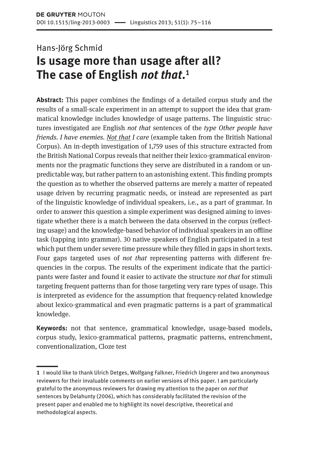# Hans-Jörg Schmid **Is usage more than usage after all? The case of English** *not that***. 1**

**Abstract:** This paper combines the findings of a detailed corpus study and the results of a small-scale experiment in an attempt to support the idea that grammatical knowledge includes knowledge of usage patterns. The linguistic structures investigated are English *not that* sentences of the *type Other people have friends. I have enemies. Not that I care* (example taken from the British National Corpus). An in-depth investigation of 1,759 uses of this structure extracted from the British National Corpus reveals that neither their lexico-grammatical environments nor the pragmatic functions they serve are distributed in a random or unpredictable way, but rather pattern to an astonishing extent. This finding prompts the question as to whether the observed patterns are merely a matter of repeated usage driven by recurring pragmatic needs, or instead are represented as part of the linguistic knowledge of individual speakers, i.e., as a part of grammar. In order to answer this question a simple experiment was designed aiming to investigate whether there is a match between the data observed in the corpus (reflecting usage) and the knowledge-based behavior of individual speakers in an offline task (tapping into grammar). 30 native speakers of English participated in a test which put them under severe time pressure while they filled in gaps in short texts. Four gaps targeted uses of *not that* representing patterns with different frequencies in the corpus. The results of the experiment indicate that the participants were faster and found it easier to activate the structure *not that* for stimuli targeting frequent patterns than for those targeting very rare types of usage. This is interpreted as evidence for the assumption that frequency-related knowledge about lexico-grammatical and even pragmatic patterns is a part of grammatical knowledge.

**Keywords:** not that sentence, grammatical knowledge, usage-based models, corpus study, lexico-grammatical patterns, pragmatic patterns, entrenchment, conventionalization, Cloze test

**<sup>1</sup>** I would like to thank Ulrich Detges, Wolfgang Falkner, Friedrich Ungerer and two anonymous reviewers for their invaluable comments on earlier versions of this paper. I am particularly grateful to the anonymous reviewers for drawing my attention to the paper on *not that*  sentences by Delahunty (2006), which has considerably facilitated the revision of the present paper and enabled me to highlight its novel descriptive, theoretical and methodological aspects.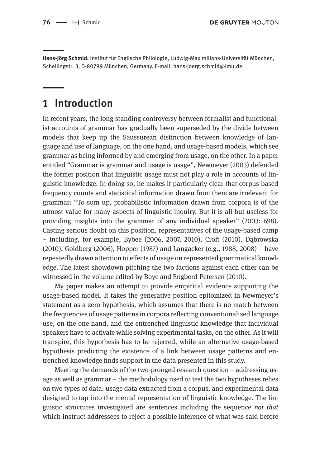**Hans-Jörg Schmid:** Institut für Englische Philologie, Ludwig-Maximilians-Universität München, Schellingstr. 3, D-80799 München, Germany. E-mail: hans-joerg.schmid@lmu.de.

## **1 Introduction**

In recent years, the long-standing controversy between formalist and functionalist accounts of grammar has gradually been superseded by the divide between models that keep up the Saussurean distinction between knowledge of language and use of language, on the one hand, and usage-based models, which see grammar as being informed by and emerging from usage, on the other. In a paper entitled "Grammar is grammar and usage is usage", Newmeyer (2003) defended the former position that linguistic usage must not play a role in accounts of linguistic knowledge. In doing so, he makes it particularly clear that corpus-based frequency counts and statistical information drawn from them are irrelevant for grammar: "To sum up, probabilistic information drawn from corpora is of the utmost value for many aspects of linguistic inquiry. But it is all but useless for providing insights into the grammar of any individual speaker" (2003: 698). Casting serious doubt on this position, representatives of the usage-based camp – including, for example, Bybee (2006, 2007, 2010), Croft (2010), Dąbrowska (2010), Goldberg (2006), Hopper (1987) and Langacker (e.g., 1988, 2008) – have repeatedly drawn attention to effects of usage on represented grammatical knowledge. The latest showdown pitching the two factions against each other can be witnessed in the volume edited by Boye and Engberd-Petersen (2010).

My paper makes an attempt to provide empirical evidence supporting the usage-based model. It takes the generative position epitomized in Newmeyer's statement as a zero hypothesis, which assumes that there is no match between the frequencies of usage patterns in corpora reflecting conventionalized language use, on the one hand, and the entrenched linguistic knowledge that individual speakers have to activate while solving experimental tasks, on the other. As it will transpire, this hypothesis has to be rejected, while an alternative usage-based hypothesis predicting the existence of a link between usage patterns and entrenched knowledge finds support in the data presented in this study.

Meeting the demands of the two-pronged research question – addressing usage as well as grammar – the methodology used to test the two hypotheses relies on two types of data: usage data extracted from a corpus, and experimental data designed to tap into the mental representation of linguistic knowledge. The linguistic structures investigated are sentences including the sequence *not that* which instruct addressees to reject a possible inference of what was said before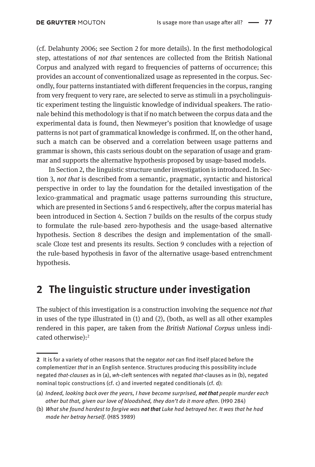(cf. Delahunty 2006; see Section 2 for more details). In the first methodological step, attestations of *not that* sentences are collected from the British National Corpus and analyzed with regard to frequencies of patterns of occurrence; this provides an account of conventionalized usage as represented in the corpus. Secondly, four patterns instantiated with different frequencies in the corpus, ranging from very frequent to very rare, are selected to serve as stimuli in a psycholinguistic experiment testing the linguistic knowledge of individual speakers. The rationale behind this methodology is that if no match between the corpus data and the experimental data is found, then Newmeyer's position that knowledge of usage patterns is not part of grammatical knowledge is confirmed. If, on the other hand, such a match can be observed and a correlation between usage patterns and grammar is shown, this casts serious doubt on the separation of usage and grammar and supports the alternative hypothesis proposed by usage-based models.

In Section 2, the linguistic structure under investigation is introduced. In Section 3, *not that* is described from a semantic, pragmatic, syntactic and historical perspective in order to lay the foundation for the detailed investigation of the lexico-grammatical and pragmatic usage patterns surrounding this structure, which are presented in Sections 5 and 6 respectively, after the corpus material has been introduced in Section 4. Section 7 builds on the results of the corpus study to formulate the rule-based zero-hypothesis and the usage-based alternative hypothesis. Section 8 describes the design and implementation of the smallscale Cloze test and presents its results. Section 9 concludes with a rejection of the rule-based hypothesis in favor of the alternative usage-based entrenchment hypothesis.

## **2 The linguistic structure under investigation**

The subject of this investigation is a construction involving the sequence *not that* in uses of the type illustrated in (1) and (2), (both, as well as all other examples rendered in this paper, are taken from the *British National Corpus* unless indicated otherwise):2

**<sup>2</sup>** It is for a variety of other reasons that the negator *not* can find itself placed before the complementizer *that* in an English sentence. Structures producing this possibility include negated *that-clauses* as in (a), *wh*-cleft sentences with negated *that-*clauses as in (b), negated nominal topic constructions (cf. c) and inverted negated conditionals (cf. d):

<sup>(</sup>a) *Indeed, looking back over the years, I have become surprised, not that people murder each other but that, given our love of bloodshed, they don't do it more often*. (H90 284)

<sup>(</sup>b) *What she found hardest to forgive was not that Luke had betrayed her. It was that he had made her betray herself*. (H8S 3989)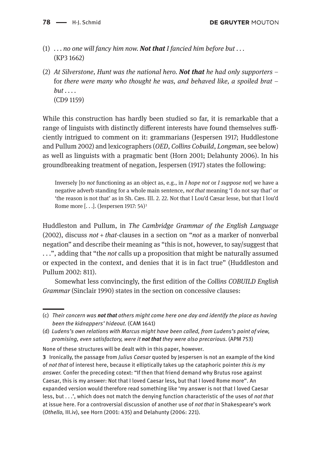- (1) *. . . no one will fancy him now. Not that I fancied him before but . . .* (KP3 1662)
- (2) *At Silverstone, Hunt was the national hero. Not that he had only supporters*  for *there were many who thought he was, and behaved like, a spoiled brat* – *but . . . .* (CD9 1159)

While this construction has hardly been studied so far, it is remarkable that a range of linguists with distinctly different interests have found themselves sufficiently intrigued to comment on it: grammarians (Jespersen 1917; Huddlestone and Pullum 2002) and lexicographers (*OED*, *Collins Cobuild*, *Longman*, see below) as well as linguists with a pragmatic bent (Horn 2001; Delahunty 2006). In his groundbreaking treatment of negation, Jespersen (1917) states the following:

Inversely [to *not* functioning as an object as, e.g., in *I hope not* or *I suppose not*] we have a negative adverb standing for a whole main sentence, *not that* meaning 'I do not say that' or 'the reason is not that' as in Sh. Cæs. III. 2. 22. Not that I Lou'd Cæsar lesse, but that I lou'd Rome more [...]. (Jespersen 1917: 54)<sup>3</sup>

Huddleston and Pullum, in *The Cambridge Grammar of the English Language* (2002), discuss *not*+*that*-clauses in a section on "*not* as a marker of nonverbal negation" and describe their meaning as "this is not, however, to say/suggest that . . .", adding that "the *not* calls up a proposition that might be naturally assumed or expected in the context, and denies that it is in fact true" (Huddleston and Pullum 2002: 811).

Somewhat less convincingly, the first edition of the *Collins COBUILD English Grammar* (Sinclair 1990) states in the section on concessive clauses:

<sup>(</sup>c) *Their concern was not that others might come here one day and identify the place as having been the kidnappers' hideout.* (CAM 1641)

<sup>(</sup>d) *Ludens's own relations with Marcus might have been called, from Ludens's point of view, promising, even satisfactory, were it not that they were also precarious.* (APM 753)

None of these structures will be dealt with in this paper, however.

**<sup>3</sup>** Ironically, the passage from *Julius Caesar* quoted by Jespersen is not an example of the kind of *not that* of interest here, because it elliptically takes up the cataphoric pointer *this is my answer.* Confer the preceding cotext: "If then that friend demand why Brutus rose against Caesar, this is my answer: Not that I loved Caesar less**,** but that I loved Rome more". An expanded version would therefore read something like 'my answer is not that I loved Caesar less, but . . .', which does not match the denying function characteristic of the uses of *not that* at issue here. For a controversial discussion of another use of *not that* in Shakespeare's work (*Othello,* III.iv), see Horn (2001: 435) and Delahunty (2006: 221).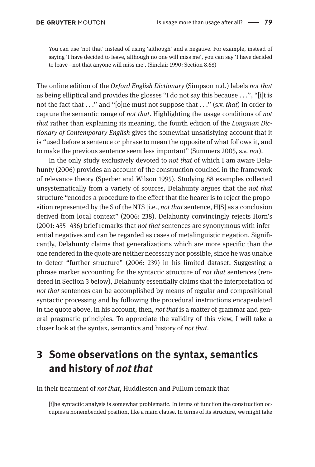You can use 'not that' instead of using 'although' and a negative. For example, instead of saying 'I have decided to leave, although no one will miss me', you can say 'I have decided to leave―not that anyone will miss me'. (Sinclair 1990: Section 8.68)

The online edition of the *Oxford English Dictionary* (Simpson n.d.) labels *not that*  as being elliptical and provides the glosses "I do not say this because . . .", "[i]t is not the fact that . . ." and "[o]ne must not suppose that . . ." (s.v. *that*) in order to capture the semantic range of *not that*. Highlighting the usage conditions of *not that* rather than explaining its meaning, the fourth edition of the *Longman Dictionary of Contemporary English* gives the somewhat unsatisfying account that it is "used before a sentence or phrase to mean the opposite of what follows it, and to make the previous sentence seem less important" (Summers 2005, s.v. *not*).

In the only study exclusively devoted to *not that* of which I am aware Delahunty (2006) provides an account of the construction couched in the framework of relevance theory (Sperber and Wilson 1995). Studying 88 examples collected unsystematically from a variety of sources, Delahunty argues that the *not that* structure "encodes a procedure to the effect that the hearer is to reject the proposition represented by the S of the NTS [i.e., *not that* sentence, HJS] as a conclusion derived from local context" (2006: 238). Delahunty convincingly rejects Horn's (2001: 435–436) brief remarks that *not that* sentences are synonymous with inferential negatives and can be regarded as cases of metalinguistic negation. Significantly, Delahunty claims that generalizations which are more specific than the one rendered in the quote are neither necessary nor possible, since he was unable to detect "further structure" (2006: 239) in his limited dataset. Suggesting a phrase marker accounting for the syntactic structure of *not that* sentences (rendered in Section 3 below), Delahunty essentially claims that the interpretation of *not that* sentences can be accomplished by means of regular and compositional syntactic processing and by following the procedural instructions encapsulated in the quote above. In his account, then, *not that* is a matter of grammar and general pragmatic principles. To appreciate the validity of this view, I will take a closer look at the syntax, semantics and history of *not that*.

# **3 Some observations on the syntax, semantics and history of** *not that*

In their treatment of *not that*, Huddleston and Pullum remark that

[t]he syntactic analysis is somewhat problematic. In terms of function the construction occupies a nonembedded position, like a main clause. In terms of its structure, we might take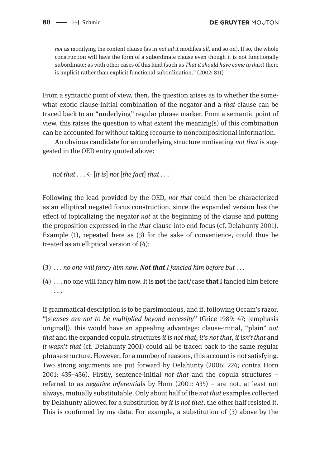*not* as modifying the content clause (as in *not all* it modifies *all*, and so on). If so, the whole construction will have the form of a subordinate clause even though it is not functionally subordinate; as with other cases of this kind (such as *That it should have come to this!*) there is implicit rather than explicit functional subordination." (2002: 811)

From a syntactic point of view, then, the question arises as to whether the somewhat exotic clause-initial combination of the negator and a *that*-clause can be traced back to an "underlying" regular phrase marker. From a semantic point of view, this raises the question to what extent the meaning(s) of this combination can be accounted for without taking recourse to noncompositional information.

An obvious candidate for an underlying structure motivating *not that* is suggested in the OED entry quoted above:

*not that*  $\dots \leftarrow$  [*it is*] *not* [*the fact*] *that*  $\dots$ 

Following the lead provided by the OED, *not that* could then be characterized as an elliptical negated focus construction, since the expanded version has the effect of topicalizing the negator *not* at the beginning of the clause and putting the proposition expressed in the *that*-clause into end focus (cf. Delahunty 2001). Example (1), repeated here as (3) for the sake of convenience, could thus be treated as an elliptical version of (4):

- (3) *. . . no one will fancy him now. Not that I fancied him before but . . .*
- (4) . . . no one will fancy him now. It is **not** the fact/case **that** I fancied him before . . .

If grammatical description is to be parsimonious, and if, following Occam's razor, "[*s*]*enses are not to be multiplied beyond necessity*" (Grice 1989: 47; [emphasis original]), this would have an appealing advantage: clause-initial, "plain" *not that* and the expanded copula structures *it is not that, it's not that*, *it isn't that* and *it wasn't that* (cf. Delahunty 2001) could all be traced back to the same regular phrase structure. However, for a number of reasons, this account is not satisfying. Two strong arguments are put forward by Delahunty (2006: 224; contra Horn 2001: 435–436). Firstly, sentence-initial *not that* and the copula structures – referred to as *negative inferentials* by Horn (2001: 435) – are not, at least not always, mutually substitutable. Only about half of the *not that* examples collected by Delahunty allowed for a substitution by *it is not that*, the other half resisted it. This is confirmed by my data. For example, a substitution of (3) above by the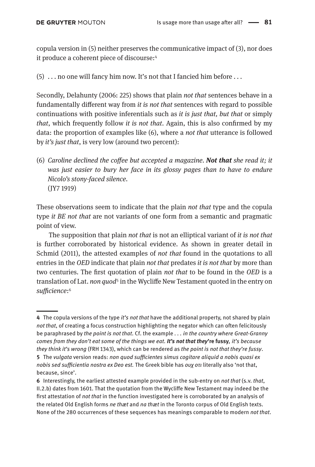copula version in (5) neither preserves the communicative impact of (3), nor does it produce a coherent piece of discourse:<sup>4</sup>

 $(5)$  ... no one will fancy him now. It's not that I fancied him before ...

Secondly, Delahunty (2006: 225) shows that plain *not that* sentences behave in a fundamentally different way from *it is not that* sentences with regard to possible continuations with positive inferentials such as *it is just that, but that* or simply *that*, which frequently follow *it is not that*. Again, this is also confirmed by my data: the proportion of examples like (6), where a *not that* utterance is followed by *it's just that*, is very low (around two percent):

(6) *Caroline declined the coffee but accepted a magazine. Not that she read it; it was just easier to bury her face in its glossy pages than to have to endure Nicolo's stony-faced silence.* (JY7 1919)

These observations seem to indicate that the plain *not that* type and the copula type *it BE not that* are not variants of one form from a semantic and pragmatic point of view.

The supposition that plain *not that* is not an elliptical variant of *it is not that* is further corroborated by historical evidence. As shown in greater detail in Schmid (2011), the attested examples of *not that* found in the quotations to all entries in the *OED* indicate that plain *not that* predates *it is not that* by more than two centuries. The first quotation of plain *not that* to be found in the *OED* is a translation of Lat. *non quod*<sup>5</sup> in the Wycliffe New Testament quoted in the entry on *sufficience*:6

**<sup>4</sup>** The copula versions of the type *it's not that* have the additional property, not shared by plain *not that*, of creating a focus construction highlighting the negator which can often felicitously be paraphrased by *the point is not that*. Cf. the example *. . . in the country where Great-Granny comes from they don't eat some of the things we eat. It's not that they***'re fussy***, it's because they think it's wrong* (FRH 1343), which can be rendered as *the point is not that they're fussy*.

**<sup>5</sup>** The *vulgata* version reads: *non quod sufficientes simus cogitare aliquid a nobis quasi ex nobis sed sufficientia nostra ex Deo est.* The Greek bible has *ουχ οτι* literally also 'not that, because, since'.

**<sup>6</sup>** Interestingly, the earliest attested example provided in the sub-entry on *not that* (s.v. *that*, II.2.b) dates from 1601. That the quotation from the Wycliffe New Testament may indeed be the first attestation of *not that* in the function investigated here is corroborated by an analysis of the related Old English forms *ne thæt* and *na thæt* in the Toronto corpus of Old English texts. None of the 280 occurrences of these sequences has meanings comparable to modern *not that*.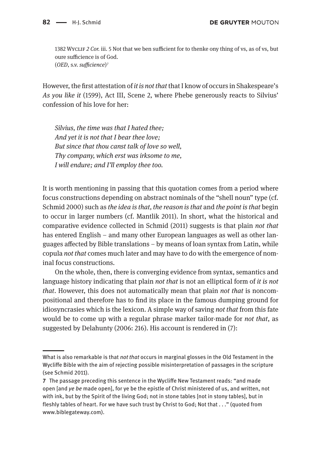1382 Wyclif *2 Cor.* iii. 5 Not that we ben sufficient for to thenke ony thing of vs, as of vs, but oure sufficience is of God. (*OED*, s.v. *sufficience*)7

However, the first attestation of *it is not that* that I know of occurs in Shakespeare's *As you like it* (1599), Act III, Scene 2, where Phebe generously reacts to Silvius' confession of his love for her:

*Silvius, the time was that I hated thee; And yet it is not that I bear thee love; But since that thou canst talk of love so well, Thy company, which erst was irksome to me, I will endure; and I'll employ thee too.* 

It is worth mentioning in passing that this quotation comes from a period where focus constructions depending on abstract nominals of the "shell noun" type (cf. Schmid 2000) such as *the idea is that, the reason is that* and *the point is that* begin to occur in larger numbers (cf. Mantlik 2011). In short, what the historical and comparative evidence collected in Schmid (2011) suggests is that plain *not that* has entered English – and many other European languages as well as other languages affected by Bible translations – by means of loan syntax from Latin, while copula *not that* comes much later and may have to do with the emergence of nominal focus constructions.

On the whole, then, there is converging evidence from syntax, semantics and language history indicating that plain *not that* is not an elliptical form of *it is not that*. However, this does not automatically mean that plain *not that* is noncompositional and therefore has to find its place in the famous dumping ground for idiosyncrasies which is the lexicon. A simple way of saving *not that* from this fate would be to come up with a regular phrase marker tailor-made for *not that*, as suggested by Delahunty (2006: 216). His account is rendered in (7):

What is also remarkable is that *not that* occurs in marginal glosses in the Old Testament in the Wycliffe Bible with the aim of rejecting possible misinterpretation of passages in the scripture (see Schmid 2011).

**<sup>7</sup>** The passage preceding this sentence in the Wycliffe New Testament reads: "and made open [and *ye be* made open], for ye be the epistle of Christ ministered of us, and written, not with ink, but by the Spirit of the living God; not in stone tables [not in stony tables], but in fleshly tables of heart. For we have such trust by Christ to God; Not that . . ." (quoted from www.biblegateway.com).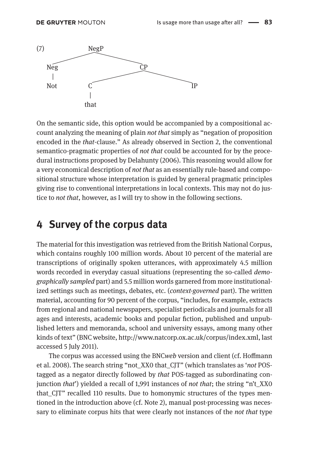

On the semantic side, this option would be accompanied by a compositional account analyzing the meaning of plain *not that* simply as "negation of proposition encoded in the *that*-clause." As already observed in Section 2, the conventional semantico-pragmatic properties of *not that* could be accounted for by the procedural instructions proposed by Delahunty (2006). This reasoning would allow for a very economical description of *not that* as an essentially rule-based and compositional structure whose interpretation is guided by general pragmatic principles giving rise to conventional interpretations in local contexts. This may not do justice to *not that*, however, as I will try to show in the following sections.

## **4 Survey of the corpus data**

The material for this investigation was retrieved from the British National Corpus, which contains roughly 100 million words. About 10 percent of the material are transcriptions of originally spoken utterances, with approximately 4.5 million words recorded in everyday casual situations (representing the so-called *demographically sampled* part) and 5.5 million words garnered from more institutionalized settings such as meetings, debates, etc. (*context-governed* part). The written material, accounting for 90 percent of the corpus, "includes, for example, extracts from regional and national newspapers, specialist periodicals and journals for all ages and interests, academic books and popular fiction, published and unpublished letters and memoranda, school and university essays, among many other kinds of text" (BNC website, http://www.natcorp.ox.ac.uk/corpus/index.xml, last accessed 5 July 2011).

The corpus was accessed using the BNC*web* version and client (cf. Hoffmann et al. 2008). The search string "not\_XX0 that\_CJT" (which translates as '*not* POStagged as a negator directly followed by *that* POS-tagged as subordinating conjunction *that*') yielded a recall of 1,991 instances of *not that*; the string "n't\_XX0 that\_CJT" recalled 110 results. Due to homonymic structures of the types mentioned in the introduction above (cf. Note 2), manual post-processing was necessary to eliminate corpus hits that were clearly not instances of the *not that* type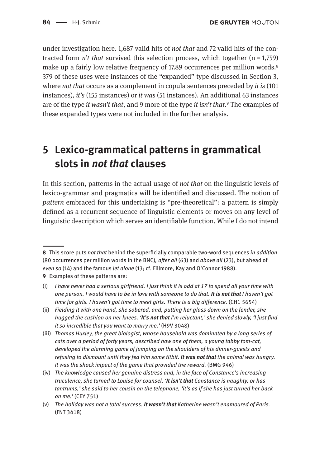under investigation here. 1,687 valid hits of *not that* and 72 valid hits of the contracted form  $n't$  that survived this selection process, which together  $(n = 1.759)$ make up a fairly low relative frequency of 17.89 occurrences per million words.<sup>8</sup> 379 of these uses were instances of the "expanded" type discussed in Section 3, where *not that* occurs as a complement in copula sentences preceded by *it is* (101 instances)*, it's* (155 instances) or *it was* (51 instances). An additional 63 instances are of the type *it wasn't that*, and 9 more of the type *it isn't that*. <sup>9</sup> The examples of these expanded types were not included in the further analysis.

# **5 Lexico-grammatical patterns in grammatical slots in** *not that* **clauses**

In this section, patterns in the actual usage of *not that* on the linguistic levels of lexico-grammar and pragmatics will be identified and discussed. The notion of *pattern* embraced for this undertaking is "pre-theoretical": a pattern is simply defined as a recurrent sequence of linguistic elements or moves on any level of linguistic description which serves an identifiable function. While I do not intend

**<sup>8</sup>** This score puts *not that* behind the superficially comparable two-word sequences *in addition* (80 occurrences per million words in the BNC)*, after all* (63) and *above all* (23), but ahead of *even so* (14) and the famous *let alone* (13; cf. Fillmore, Kay and O'Connor 1988).

**<sup>9</sup>** Examples of these patterns are:

<sup>(</sup>i) *I have never had a serious girlfriend. I just think it is odd at 17 to spend all your time with one person. I would have to be in love with someone to do that. It is not that I haven't got time for girls. I haven't got time to meet girls. There is a big difference.* (CH1 5654)

<sup>(</sup>ii) *Fielding it with one hand, she sobered, and, putting her glass down on the fender, she hugged the cushion on her knees. 'It's not that I'm reluctant,' she denied slowly, 'I just find it so incredible that you want to marry me.'* (H9V 3048)

<sup>(</sup>iii) *Thomas Huxley, the great biologist, whose household was dominated by a long series of cats over a period of forty years, described how one of them, a young tabby tom-cat, developed the alarming game of jumping on the shoulders of his dinner-guests and refusing to dismount until they fed him some titbit. It was not that the animal was hungry. It was the shock impact of the game that provided the reward.* (BMG 946)

<sup>(</sup>iv) *The knowledge caused her genuine distress and, in the face of Constance's increasing truculence, she turned to Louise for counsel. 'It isn't that Constance is naughty, or has tantrums,' she said to her cousin on the telephone, 'it's as if she has just turned her back on me.'* (CEY 751)

<sup>(</sup>v) *The holiday was not a total success. It wasn't that Katherine wasn't enamoured of Paris.* (FNT 3418)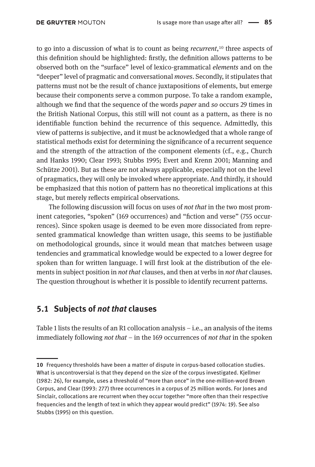to go into a discussion of what is to count as being *recurrent*, 10 three aspects of this definition should be highlighted: firstly, the definition allows patterns to be observed both on the "surface" level of lexico-grammatical *elements* and on the "deeper" level of pragmatic and conversational *moves*. Secondly, it stipulates that patterns must not be the result of chance juxtapositions of elements, but emerge because their components serve a common purpose. To take a random example, although we find that the sequence of the words *paper* and *so* occurs 29 times in the British National Corpus, this still will not count as a pattern, as there is no identifiable function behind the recurrence of this sequence. Admittedly, this view of patterns is subjective, and it must be acknowledged that a whole range of statistical methods exist for determining the significance of a recurrent sequence and the strength of the attraction of the component elements (cf., e.g., Church and Hanks 1990; Clear 1993; Stubbs 1995; Evert and Krenn 2001; Manning and Schütze 2001). But as these are not always applicable, especially not on the level of pragmatics, they will only be invoked where appropriate. And thirdly, it should be emphasized that this notion of pattern has no theoretical implications at this stage, but merely reflects empirical observations.

The following discussion will focus on uses of *not that* in the two most prominent categories, "spoken" (169 occurrences) and "fiction and verse" (755 occurrences). Since spoken usage is deemed to be even more dissociated from represented grammatical knowledge than written usage, this seems to be justifiable on methodological grounds, since it would mean that matches between usage tendencies and grammatical knowledge would be expected to a lower degree for spoken than for written language. I will first look at the distribution of the elements in subject position in *not that* clauses, and then at verbs in *not that* clauses. The question throughout is whether it is possible to identify recurrent patterns.

### **5.1 Subjects of** *not that* **clauses**

Table 1 lists the results of an R1 collocation analysis – i.e., an analysis of the items immediately following *not that* – in the 169 occurrences of *not that* in the spoken

**<sup>10</sup>** Frequency thresholds have been a matter of dispute in corpus-based collocation studies. What is uncontroversial is that they depend on the size of the corpus investigated. Kjellmer (1982: 26), for example, uses a threshold of "more than once" in the one-million-word Brown Corpus, and Clear (1993: 277) three occurrences in a corpus of 25 million words. For Jones and Sinclair, collocations are recurrent when they occur together "more often than their respective frequencies and the length of text in which they appear would predict" (1974: 19). See also Stubbs (1995) on this question.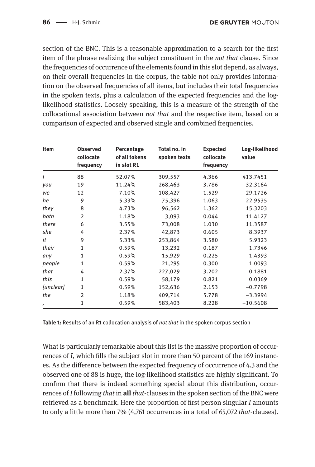section of the BNC. This is a reasonable approximation to a search for the first item of the phrase realizing the subject constituent in the *not that* clause. Since the frequencies of occurrence of the elements found in this slot depend, as always, on their overall frequencies in the corpus, the table not only provides information on the observed frequencies of all items, but includes their total frequencies in the spoken texts, plus a calculation of the expected frequencies and the loglikelihood statistics. Loosely speaking, this is a measure of the strength of the collocational association between *not that* and the respective item, based on a comparison of expected and observed single and combined frequencies.

| Item      | <b>Observed</b><br>collocate<br>frequency | Percentage<br>of all tokens<br>in slot R1 | Total no. in<br>spoken texts | <b>Expected</b><br>collocate<br>frequency | Log-likelihood<br>value |
|-----------|-------------------------------------------|-------------------------------------------|------------------------------|-------------------------------------------|-------------------------|
| $\prime$  | 88                                        | 52.07%                                    | 309,557                      | 4.366                                     | 413.7451                |
| you       | 19                                        | 11.24%                                    | 268,463                      | 3.786                                     | 32.3164                 |
| we        | 12                                        | 7.10%                                     | 108,427                      | 1.529                                     | 29.1726                 |
| he        | 9                                         | 5.33%                                     | 75,396                       | 1.063                                     | 22.9535                 |
| they      | 8                                         | 4.73%                                     | 96,562                       | 1.362                                     | 15.3203                 |
| both      | 2                                         | 1.18%                                     | 3,093                        | 0.044                                     | 11.4127                 |
| there     | 6                                         | 3.55%                                     | 73,008                       | 1.030                                     | 11.3587                 |
| she       | 4                                         | 2.37%                                     | 42,873                       | 0.605                                     | 8.3937                  |
| it        | 9                                         | 5.33%                                     | 253,864                      | 3.580                                     | 5.9323                  |
| their     | 1                                         | 0.59%                                     | 13,232                       | 0.187                                     | 1.7346                  |
| any       | 1                                         | 0.59%                                     | 15,929                       | 0.225                                     | 1.4393                  |
| people    | 1                                         | 0.59%                                     | 21,295                       | 0.300                                     | 1.0093                  |
| that      | 4                                         | 2.37%                                     | 227,029                      | 3.202                                     | 0.1881                  |
| this      | 1                                         | 0.59%                                     | 58,179                       | 0.821                                     | 0.0369                  |
| [unclear] | 1                                         | 0.59%                                     | 152,636                      | 2.153                                     | $-0.7798$               |
| the       | $\overline{2}$                            | 1.18%                                     | 409,714                      | 5.778                                     | $-3.3994$               |
| ,         | 1                                         | 0.59%                                     | 583,403                      | 8.228                                     | $-10.5608$              |

**Table 1:** Results of an R1 collocation analysis of *not that* in the spoken corpus section

What is particularly remarkable about this list is the massive proportion of occurrences of *I*, which fills the subject slot in more than 50 percent of the 169 instances. As the difference between the expected frequency of occurrence of 4.3 and the observed one of 88 is huge, the log-likelihood statistics are highly significant. To confirm that there is indeed something special about this distribution, occurrences of *I* following *that* in **all** *that*-clauses in the spoken section of the BNC were retrieved as a benchmark. Here the proportion of first person singular *I* amounts to only a little more than 7% (4,761 occurrences in a total of 65,072 *that*-clauses).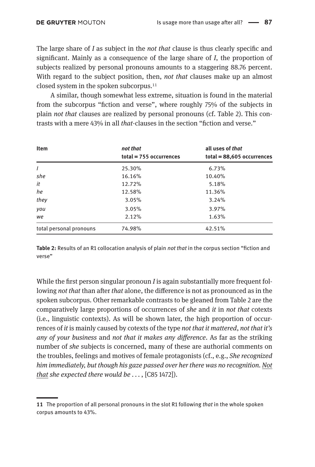The large share of *I* as subject in the *not that* clause is thus clearly specific and significant. Mainly as a consequence of the large share of *I*, the proportion of subjects realized by personal pronouns amounts to a staggering 88.76 percent. With regard to the subject position, then, *not that* clauses make up an almost closed system in the spoken subcorpus.<sup>11</sup>

A similar, though somewhat less extreme, situation is found in the material from the subcorpus "fiction and verse", where roughly 75% of the subjects in plain *not that* clauses are realized by personal pronouns (cf. Table 2). This contrasts with a mere 43% in all *that*-clauses in the section "fiction and verse."

| Item                    | not that<br>$total = 755$ occurrences | all uses of that<br>$total = 88,605$ occurrences |
|-------------------------|---------------------------------------|--------------------------------------------------|
| $\prime$                | 25.30%                                | 6.73%                                            |
| she                     | 16.16%                                | 10.40%                                           |
| it                      | 12.72%                                | 5.18%                                            |
| he                      | 12.58%                                | 11.36%                                           |
| they                    | 3.05%                                 | 3.24%                                            |
| you                     | 3.05%                                 | 3.97%                                            |
| we                      | 2.12%                                 | 1.63%                                            |
| total personal pronouns | 74.98%                                | 42.51%                                           |

**Table 2:** Results of an R1 collocation analysis of plain *not that* in the corpus section "fiction and verse"

While the first person singular pronoun *I* is again substantially more frequent following *not that* than after *that* alone, the difference is not as pronounced as in the spoken subcorpus. Other remarkable contrasts to be gleaned from Table 2 are the comparatively large proportions of occurrences of *she* and *it* in *not that* cotexts (i.e., linguistic contexts). As will be shown later, the high proportion of occurrences of *it* is mainly caused by cotexts of the type *not that it mattered*, *not that it's any of your business* and *not that it makes any difference*. As far as the striking number of *she* subjects is concerned, many of these are authorial comments on the troubles, feelings and motives of female protagonists (cf., e.g., *She recognized him immediately, but though his gaze passed over her there was no recognition. Not that she expected there would be . . .*, [C85 1472]).

**<sup>11</sup>** The proportion of all personal pronouns in the slot R1 following *that* in the whole spoken corpus amounts to 43%.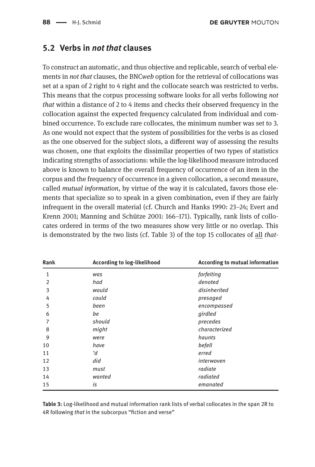### **5.2 Verbs in** *not that* **clauses**

To construct an automatic, and thus objective and replicable, search of verbal elements in *not that* clauses, the BNC*web* option for the retrieval of collocations was set at a span of 2 right to 4 right and the collocate search was restricted to verbs. This means that the corpus processing software looks for all verbs following *not that* within a distance of 2 to 4 items and checks their observed frequency in the collocation against the expected frequency calculated from individual and combined occurrence. To exclude rare collocates, the minimum number was set to 3. As one would not expect that the system of possibilities for the verbs is as closed as the one observed for the subject slots, a different way of assessing the results was chosen, one that exploits the dissimilar properties of two types of statistics indicating strengths of associations: while the log-likelihood measure introduced above is known to balance the overall frequency of occurrence of an item in the corpus and the frequency of occurrence in a given collocation, a second measure, called *mutual information*, by virtue of the way it is calculated, favors those elements that specialize so to speak in a given combination, even if they are fairly infrequent in the overall material (cf. Church and Hanks 1990: 23–24; Evert and Krenn 2001; Manning and Schütze 2001: 166–171). Typically, rank lists of collocates ordered in terms of the two measures show very little or no overlap. This is demonstrated by the two lists (cf. Table 3) of the top 15 collocates of all *that*-

| Rank | According to log-likelihood | According to mutual information |  |
|------|-----------------------------|---------------------------------|--|
| 1    | was                         | forfeiting                      |  |
| 2    | had                         | denoted                         |  |
| 3    | would                       | disinherited                    |  |
| 4    | could                       | presaged                        |  |
| 5    | been                        | encompassed                     |  |
| 6    | be                          | girdled                         |  |
|      | should                      | precedes                        |  |
| 8    | might                       | characterized                   |  |
| 9    | were                        | haunts                          |  |
| 10   | have                        | befell                          |  |
| 11   | 'd                          | erred                           |  |
| 12   | did                         | interwoven                      |  |
| 13   | must                        | radiate                         |  |
| 14   | wanted                      | radiated                        |  |
| 15   | is                          | emanated                        |  |

**Table 3:** Log-likelihood and mutual information rank lists of verbal collocates in the span 2R to 4R following *that* in the subcorpus "fiction and verse"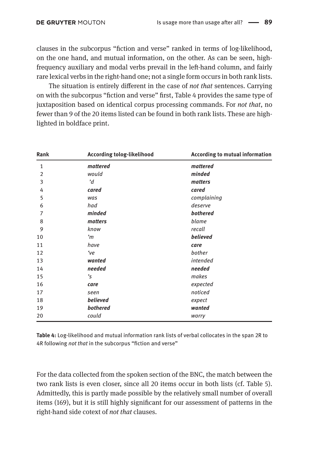clauses in the subcorpus "fiction and verse" ranked in terms of log-likelihood, on the one hand, and mutual information, on the other. As can be seen, highfrequency auxiliary and modal verbs prevail in the left-hand column, and fairly rare lexical verbs in the right-hand one; not a single form occurs in both rank lists.

The situation is entirely different in the case of *not that* sentences. Carrying on with the subcorpus "fiction and verse" first, Table 4 provides the same type of juxtaposition based on identical corpus processing commands. For *not that*, no fewer than 9 of the 20 items listed can be found in both rank lists. These are highlighted in boldface print.

| Rank           | <b>According tolog-likelihood</b> | According to mutual information |
|----------------|-----------------------------------|---------------------------------|
| 1              | mattered                          | mattered                        |
| $\overline{2}$ | would                             | minded                          |
| 3              | 'd                                | matters                         |
| 4              | cared                             | cared                           |
| 5              | was                               | complaining                     |
| 6              | had                               | deserve                         |
| 7              | minded                            | bothered                        |
| 8              | matters                           | blame                           |
| 9              | know                              | recall                          |
| 10             | 'n                                | believed                        |
| 11             | have                              | care                            |
| 12             | 've                               | bother                          |
| 13             | wanted                            | intended                        |
| 14             | needed                            | needed                          |
| 15             | 's                                | makes                           |
| 16             | care                              | expected                        |
| 17             | seen                              | noticed                         |
| 18             | believed                          | expect                          |
| 19             | bothered                          | wanted                          |
| 20             | could                             | worry                           |

**Table 4:** Log-likelihood and mutual information rank lists of verbal collocates in the span 2R to 4R following *not that* in the subcorpus "fiction and verse"

For the data collected from the spoken section of the BNC, the match between the two rank lists is even closer, since all 20 items occur in both lists (cf. Table 5). Admittedly, this is partly made possible by the relatively small number of overall items (169), but it is still highly significant for our assessment of patterns in the right-hand side cotext of *not that* clauses.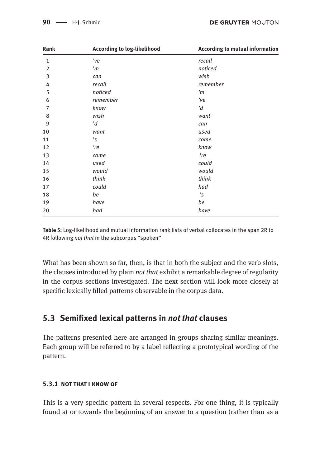| Rank           | According to log-likelihood | According to mutual information |  |
|----------------|-----------------------------|---------------------------------|--|
| $\mathbf{1}$   | 've                         | recall                          |  |
| $\overline{2}$ | 'n                          | noticed                         |  |
| 3              | can                         | wish                            |  |
| 4              | recall                      | remember                        |  |
| 5              | noticed                     | 'n                              |  |
| 6              | remember                    | 've                             |  |
| 7              | know                        | 'd                              |  |
| 8              | wish                        | want                            |  |
| 9              | 'd                          | can                             |  |
| 10             | want                        | used                            |  |
| 11             | $\mathbf{s}'$               | come                            |  |
| 12             | ʻre                         | know                            |  |
| 13             | come                        | 're                             |  |
| 14             | used                        | could                           |  |
| 15             | would                       | would                           |  |
| 16             | think                       | think                           |  |
| 17             | could                       | had                             |  |
| 18             | be                          | $\mathbf{s}'$                   |  |
| 19             | have                        | be                              |  |
| 20             | had                         | have                            |  |

**Table 5:** Log-likelihood and mutual information rank lists of verbal collocates in the span 2R to 4R following *not that* in the subcorpus "spoken"

What has been shown so far, then, is that in both the subject and the verb slots, the clauses introduced by plain *not that* exhibit a remarkable degree of regularity in the corpus sections investigated. The next section will look more closely at specific lexically filled patterns observable in the corpus data.

## **5.3 Semifixed lexical patterns in** *not that* **clauses**

The patterns presented here are arranged in groups sharing similar meanings. Each group will be referred to by a label reflecting a prototypical wording of the pattern.

#### **5.3.1 not that i know of**

This is a very specific pattern in several respects. For one thing, it is typically found at or towards the beginning of an answer to a question (rather than as a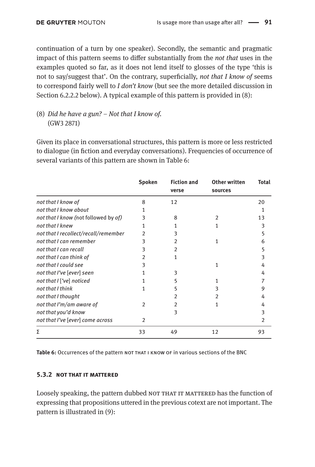continuation of a turn by one speaker). Secondly, the semantic and pragmatic impact of this pattern seems to differ substantially from the *not that* uses in the examples quoted so far, as it does not lend itself to glosses of the type 'this is not to say/suggest that'. On the contrary, superficially, *not that I know of* seems to correspond fairly well to *I don't know* (but see the more detailed discussion in Section 6.2.2.2 below). A typical example of this pattern is provided in (8):

#### (8) *Did he have a gun?* – *Not that I know of.* (GW3 2871)

Given its place in conversational structures, this pattern is more or less restricted to dialogue (in fiction and everyday conversations). Frequencies of occurrence of several variants of this pattern are shown in Table 6:

|                                      | Spoken         | <b>Fiction and</b><br>verse | Other written<br>sources | Total |
|--------------------------------------|----------------|-----------------------------|--------------------------|-------|
| not that I know of                   | 8              | 12                          |                          | 20    |
| not that I know about                |                |                             |                          |       |
| not that I know (not followed by of) | 3              | 8                           | I.                       | 13    |
| not that I knew                      | 1              |                             | 1                        | 3     |
| not that I recollect/recall/remember | 2              | 3                           |                          | 5     |
| not that I can remember              | 3              |                             | 1                        |       |
| not that I can recall                |                | 2                           |                          |       |
| not that I can think of              |                | 1                           |                          |       |
| not that I could see                 |                |                             |                          |       |
| not that I've [ever] seen            |                | 3                           |                          | 4     |
| not that I ['ve] noticed             | 1              | 5                           | 1                        |       |
| not that I think                     |                |                             |                          |       |
| not that I thought                   |                |                             | 2                        |       |
| not that I'm/am aware of             | 2              | 2                           | 1                        | 4     |
| not that you'd know                  |                | 3                           |                          | 3     |
| not that I've [ever] come across     | $\mathfrak{D}$ |                             |                          | 2     |
| Σ                                    | 33             | 49                          | 12                       | 93    |

Table 6: Occurrences of the pattern NOT THAT I KNOW OF in various sections of the BNC

#### **5.3.2 not that it mattered**

Loosely speaking, the pattern dubbed NOT THAT IT MATTERED has the function of expressing that propositions uttered in the previous cotext are not important. The pattern is illustrated in (9):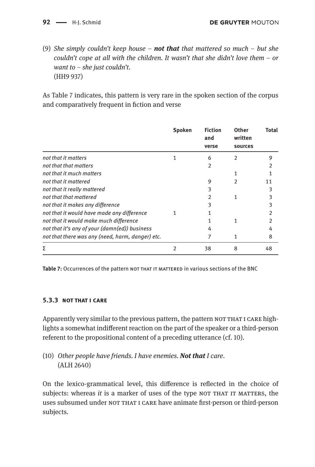(9) *She simply couldn't keep house – not that that mattered so much – but she couldn't cope at all with the children. It wasn't that she didn't love them – or want to – she just couldn't.* (HH9 937)

As Table 7 indicates, this pattern is very rare in the spoken section of the corpus and comparatively frequent in fiction and verse

|                                                  | Spoken | <b>Fiction</b><br>and<br>verse | <b>Other</b><br>written<br>sources | Total |
|--------------------------------------------------|--------|--------------------------------|------------------------------------|-------|
| not that it matters                              | 1      | 6                              | C.                                 | 9     |
| not that that matters                            |        | 2                              |                                    |       |
| not that it much matters                         |        |                                |                                    |       |
| not that it mattered                             |        | 9                              |                                    |       |
| not that it really mattered                      |        |                                |                                    |       |
| not that that mattered                           |        |                                |                                    |       |
| not that it makes any difference                 |        |                                |                                    |       |
| not that it would have made any difference       |        |                                |                                    |       |
| not that it would make much difference           |        |                                |                                    |       |
| not that it's any of your (damn(ed)) business    |        | 4                              |                                    |       |
| not that there was any (need, harm, danger) etc. |        |                                |                                    | 8     |
| Σ                                                |        | 38                             | 8                                  | 48    |

Table 7: Occurrences of the pattern NOT THAT IT MATTERED in various sections of the BNC

#### **5.3.3 not that i care**

Apparently very similar to the previous pattern, the pattern NOT THAT I CARE highlights a somewhat indifferent reaction on the part of the speaker or a third-person referent to the propositional content of a preceding utterance (cf. 10).

(10) *Other people have friends. I have enemies. Not that I care*. (ALH 2640)

On the lexico-grammatical level, this difference is reflected in the choice of subjects: whereas *it* is a marker of uses of the type NOT THAT IT MATTERS, the uses subsumed under NOT THAT I CARE have animate first-person or third-person subjects.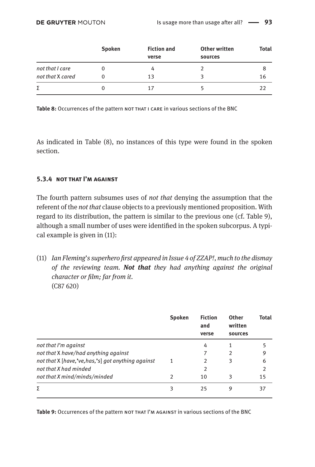|                  | Spoken | <b>Fiction and</b><br>verse | Other written<br>sources | <b>Total</b> |
|------------------|--------|-----------------------------|--------------------------|--------------|
| not that I care  |        | 4                           |                          | 8            |
| not that X cared |        | 13                          |                          | 16           |
| Σ                |        | 17                          |                          | 22           |

Table 8: Occurrences of the pattern NOT THAT I CARE in various sections of the BNC

As indicated in Table (8), no instances of this type were found in the spoken section.

#### **5.3.4 not that I'm against**

The fourth pattern subsumes uses of *not that* denying the assumption that the referent of the *not that* clause objects to a previously mentioned proposition. With regard to its distribution, the pattern is similar to the previous one (cf. Table 9), although a small number of uses were identified in the spoken subcorpus. A typical example is given in (11):

(11) *Ian Fleming*'*s superhero first appeared in Issue 4 of ZZAP!, much to the dismay of the reviewing team. Not that they had anything against the original character or film; far from it.* (C87 620)

|                                                    | <b>Spoken</b> | <b>Fiction</b><br>and<br>verse | <b>Other</b><br>written<br>sources | <b>Total</b>   |
|----------------------------------------------------|---------------|--------------------------------|------------------------------------|----------------|
| not that I'm against                               |               | 4                              |                                    |                |
| not that X have/had anything against               |               |                                | 2                                  | 9              |
| not that X [have,'ve, has,'s] got anything against | 1             | 2                              | 3                                  | 6              |
| not that X had minded                              |               | C                              |                                    | $\overline{2}$ |
| not that X mind/minds/minded                       | $\mathcal{P}$ | 10                             | 3                                  | 15             |
| Σ                                                  |               | 25                             | 9                                  |                |

Table 9: Occurrences of the pattern NOT THAT I'M AGAINST in various sections of the BNC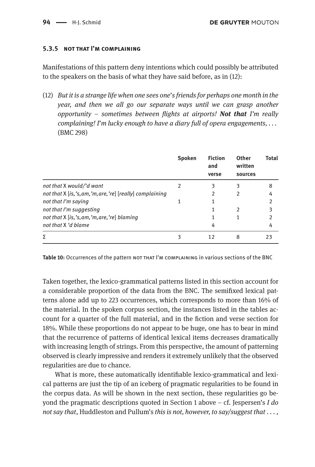#### **5.3.5 not that I'm complaining**

Manifestations of this pattern deny intentions which could possibly be attributed to the speakers on the basis of what they have said before, as in (12):

(12) *But it is a strange life when one sees one*'*s friends for perhaps one month in the year, and then we all go our separate ways until we can grasp another opportunity – sometimes between flights at airports! Not that I'm really complaining! I*'*m lucky enough to have a diary full of opera engagements, . . .* (BMC 298)

|                                                         | <b>Spoken</b> | <b>Fiction</b><br>and<br>verse | Other<br>written<br>sources | Total |
|---------------------------------------------------------|---------------|--------------------------------|-----------------------------|-------|
| not that X would/'d want                                |               |                                |                             | 8     |
| not that X [is,'s, am,'m, are,'re] [really] complaining |               | 2                              | 2                           |       |
| not that I'm saying                                     |               |                                |                             |       |
| not that I'm suggesting                                 |               |                                |                             |       |
| not that X [is,'s, am,'m, are,'re] blaming              |               |                                |                             |       |
| not that X 'd blame                                     |               | 4                              |                             | 4     |
| Σ                                                       |               | 12                             | 8                           |       |

Table 10: Occurrences of the pattern NOT THAT I'M COMPLAINING in various sections of the BNC

Taken together, the lexico-grammatical patterns listed in this section account for a considerable proportion of the data from the BNC. The semifixed lexical patterns alone add up to 223 occurrences, which corresponds to more than 16% of the material. In the spoken corpus section, the instances listed in the tables account for a quarter of the full material, and in the fiction and verse section for 18%. While these proportions do not appear to be huge, one has to bear in mind that the recurrence of patterns of identical lexical items decreases dramatically with increasing length of strings. From this perspective, the amount of patterning observed is clearly impressive and renders it extremely unlikely that the observed regularities are due to chance.

What is more, these automatically identifiable lexico-grammatical and lexical patterns are just the tip of an iceberg of pragmatic regularities to be found in the corpus data. As will be shown in the next section, these regularities go beyond the pragmatic descriptions quoted in Section 1 above – cf. Jespersen's *I do not say that*, Huddleston and Pullum's *this is not, however, to say/suggest that* . . . ,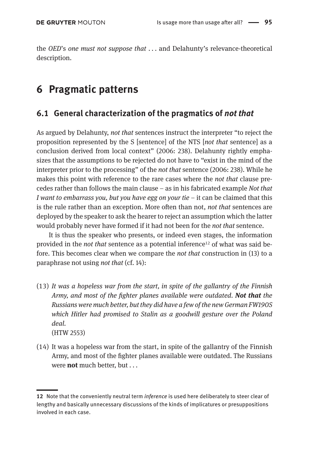the *OED*'s *one must not suppose that* . . . and Delahunty's relevance-theoretical description.

## **6 Pragmatic patterns**

### **6.1 General characterization of the pragmatics of** *not that*

As argued by Delahunty, *not that* sentences instruct the interpreter "to reject the proposition represented by the S [sentence] of the NTS [*not that* sentence] as a conclusion derived from local context" (2006: 238). Delahunty rightly emphasizes that the assumptions to be rejected do not have to "exist in the mind of the interpreter prior to the processing" of the *not that* sentence (2006: 238). While he makes this point with reference to the rare cases where the *not that* clause precedes rather than follows the main clause – as in his fabricated example *Not that I want to embarrass you, but you have egg on your tie* – it can be claimed that this is the rule rather than an exception. More often than not, *not that* sentences are deployed by the speaker to ask the hearer to reject an assumption which the latter would probably never have formed if it had not been for the *not that* sentence.

It is thus the speaker who presents, or indeed even stages, the information provided in the *not that* sentence as a potential inference<sup>12</sup> of what was said before. This becomes clear when we compare the *not that* construction in (13) to a paraphrase not using *not that* (cf. 14):

- (13) *It was a hopeless war from the start, in spite of the gallantry of the Finnish Army, and most of the fighter planes available were outdated. Not that the Russians were much better, but they did have a few of the new German FW190S which Hitler had promised to Stalin as a goodwill gesture over the Poland deal.* (HTW 2553)
- (14) It was a hopeless war from the start, in spite of the gallantry of the Finnish Army, and most of the fighter planes available were outdated. The Russians were **not** much better, but . . .

**<sup>12</sup>** Note that the conveniently neutral term *inference* is used here deliberately to steer clear of lengthy and basically unnecessary discussions of the kinds of implicatures or presuppositions involved in each case.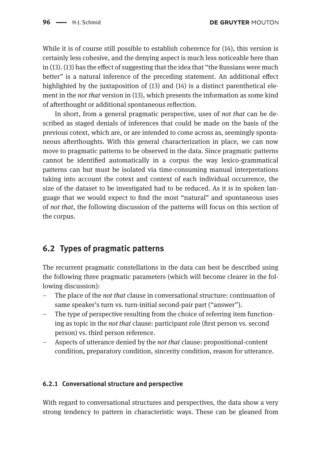While it is of course still possible to establish coherence for (14), this version is certainly less cohesive, and the denying aspect is much less noticeable here than in (13). (13) has the effect of suggesting that the idea that "the Russians were much better" is a natural inference of the preceding statement. An additional effect highlighted by the juxtaposition of (13) and (14) is a distinct parenthetical element in the *not that* version in (13), which presents the information as some kind of afterthought or additional spontaneous reflection.

In short, from a general pragmatic perspective, uses of *not that* can be described as staged denials of inferences that could be made on the basis of the previous cotext, which are, or are intended to come across as, seemingly spontaneous afterthoughts. With this general characterization in place, we can now move to pragmatic patterns to be observed in the data. Since pragmatic patterns cannot be identified automatically in a corpus the way lexico-grammatical patterns can but must be isolated via time-consuming manual interpretations taking into account the cotext and context of each individual occurrence, the size of the dataset to be investigated had to be reduced. As it is in spoken language that we would expect to find the most "natural" and spontaneous uses of *not that*, the following discussion of the patterns will focus on this section of the corpus.

### **6.2 Types of pragmatic patterns**

The recurrent pragmatic constellations in the data can best be described using the following three pragmatic parameters (which will become clearer in the following discussion):

- The place of the *not that* clause in conversational structure: continuation of same speaker's turn vs. turn-initial second-pair part ("answer").
- The type of perspective resulting from the choice of referring item functioning as topic in the *not that* clause: participant role (first person vs. second person) vs. third person reference.
- Aspects of utterance denied by the *not that* clause: propositional-content condition, preparatory condition, sincerity condition, reason for utterance.

#### **6.2.1 Conversational structure and perspective**

With regard to conversational structures and perspectives, the data show a very strong tendency to pattern in characteristic ways. These can be gleaned from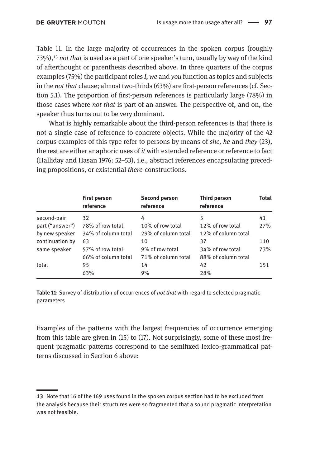Table 11. In the large majority of occurrences in the spoken corpus (roughly 73%),13 *not that* is used as a part of one speaker's turn, usually by way of the kind of afterthought or parenthesis described above. In three quarters of the corpus examples (75%) the participant roles *I, we* and *you* function as topics and subjects in the *not that* clause; almost two-thirds (63%) are first-person references (cf. Section 5.1). The proportion of first-person references is particularly large (78%) in those cases where *not that* is part of an answer. The perspective of, and on, the speaker thus turns out to be very dominant.

What is highly remarkable about the third-person references is that there is not a single case of reference to concrete objects. While the majority of the 42 corpus examples of this type refer to persons by means of *she, he* and *they* (23), the rest are either anaphoric uses of *it* with extended reference or reference to fact (Halliday and Hasan 1976: 52–53), i.e., abstract references encapsulating preceding propositions, or existential *there*-constructions.

|                 | <b>First person</b><br>reference | <b>Second person</b><br>reference | Third person<br>reference | <b>Total</b> |
|-----------------|----------------------------------|-----------------------------------|---------------------------|--------------|
| second-pair     | 32                               | 4                                 | 5                         | 41           |
| part ("answer") | 78% of row total                 | 10% of row total                  | 12% of row total          | 27%          |
| by new speaker  | 34% of column total              | 29% of column total               | 12% of column total       |              |
| continuation by | 63                               | 10                                | 37                        | 110          |
| same speaker    | 57% of row total                 | 9% of row total                   | 34% of row total          | 73%          |
|                 | 66% of column total              | 71% of column total               | 88% of column total       |              |
| total           | 95                               | 14                                | 42                        | 151          |
|                 | 63%                              | 9%                                | 28%                       |              |
|                 |                                  |                                   |                           |              |

**Table 11**: Survey of distribution of occurrences of *not that* with regard to selected pragmatic parameters

Examples of the patterns with the largest frequencies of occurrence emerging from this table are given in (15) to (17). Not surprisingly, some of these most frequent pragmatic patterns correspond to the semifixed lexico-grammatical patterns discussed in Section 6 above:

**<sup>13</sup>** Note that 16 of the 169 uses found in the spoken corpus section had to be excluded from the analysis because their structures were so fragmented that a sound pragmatic interpretation was not feasible.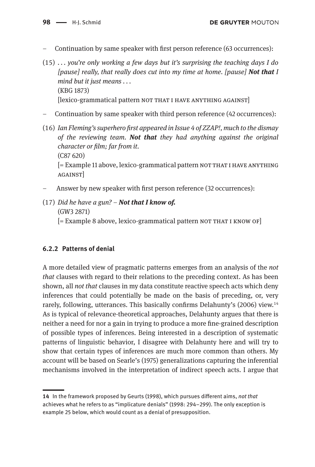- Continuation by same speaker with first person reference (63 occurrences):
- (15) *. . . you're only working a few days but it's surprising the teaching days I do [pause] really, that really does cut into my time at home. [pause] Not that I*  mind but it just means . . . (KBG 1873) [lexico-grammatical pattern NOT THAT I HAVE ANYTHING AGAINST]
- Continuation by same speaker with third person reference (42 occurrences):

(16) *Ian Fleming's superhero first appeared in Issue 4 of ZZAP!, much to the dismay of the reviewing team. Not that they had anything against the original character or film; far from it.* (C87 620)  $[=$  Example 11 above, lexico-grammatical pattern NOT THAT I HAVE ANYTHING **AGAINST** 

- Answer by new speaker with first person reference (32 occurrences):
- (17) *Did he have a gun? Not that I know of.* (GW3 2871)  $[|=$  Example 8 above, lexico-grammatical pattern NOT THAT I KNOW OF

#### **6.2.2 Patterns of denial**

A more detailed view of pragmatic patterns emerges from an analysis of the *not that* clauses with regard to their relations to the preceding context. As has been shown, all *not that* clauses in my data constitute reactive speech acts which deny inferences that could potentially be made on the basis of preceding, or, very rarely, following, utterances. This basically confirms Delahunty's (2006) view.14 As is typical of relevance-theoretical approaches, Delahunty argues that there is neither a need for nor a gain in trying to produce a more fine-grained description of possible types of inferences. Being interested in a description of systematic patterns of linguistic behavior, I disagree with Delahunty here and will try to show that certain types of inferences are much more common than others. My account will be based on Searle's (1975) generalizations capturing the inferential mechanisms involved in the interpretation of indirect speech acts. I argue that

**<sup>14</sup>** In the framework proposed by Geurts (1998), which pursues different aims, *not that*  achieves what he refers to as "implicature denials" (1998: 294–299). The only exception is example 25 below, which would count as a denial of presupposition.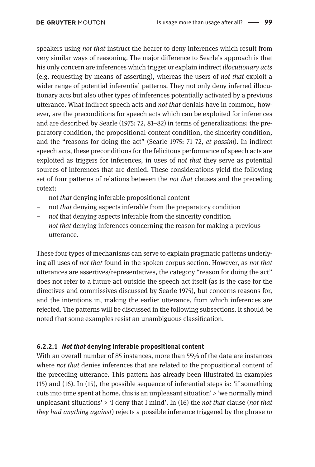speakers using *not that* instruct the hearer to deny inferences which result from very similar ways of reasoning. The major difference to Searle's approach is that his only concern are inferences which trigger or explain indirect *illocutionary acts* (e.g. requesting by means of asserting), whereas the users of *not that* exploit a wider range of potential inferential patterns. They not only deny inferred illocutionary acts but also other types of inferences potentially activated by a previous utterance. What indirect speech acts and *not that* denials have in common, however, are the preconditions for speech acts which can be exploited for inferences and are described by Searle (1975: 72, 81–82) in terms of generalizations: the preparatory condition, the propositional-content condition, the sincerity condition, and the "reasons for doing the act" (Searle 1975: 71–72, *et passim*). In indirect speech acts, these preconditions for the felicitous performance of speech acts are exploited as triggers for inferences, in uses of *not that* they serve as potential sources of inferences that are denied. These considerations yield the following set of four patterns of relations between the *not that* clauses and the preceding cotext:

- not *that* denying inferable propositional content
- not *that* denying aspects inferable from the preparatory condition
- *– not* that denying aspects inferable from the sincerity condition
- *– not that* denying inferences concerning the reason for making a previous utterance.

These four types of mechanisms can serve to explain pragmatic patterns underlying all uses of *not that* found in the spoken corpus section. However, as *not that*  utterances are assertives/representatives, the category "reason for doing the act" does not refer to a future act outside the speech act itself (as is the case for the directives and commissives discussed by Searle 1975), but concerns reasons for, and the intentions in, making the earlier utterance, from which inferences are rejected. The patterns will be discussed in the following subsections. It should be noted that some examples resist an unambiguous classification.

#### **6.2.2.1** *Not that* **denying inferable propositional content**

With an overall number of 85 instances, more than 55% of the data are instances where *not that* denies inferences that are related to the propositional content of the preceding utterance. This pattern has already been illustrated in examples (15) and (16). In (15), the possible sequence of inferential steps is: 'if something cuts into time spent at home, this is an unpleasant situation' > 'we normally mind unpleasant situations' > 'I deny that I mind'. In (16) the *not that* clause (*not that they had anything against*) rejects a possible inference triggered by the phrase *to*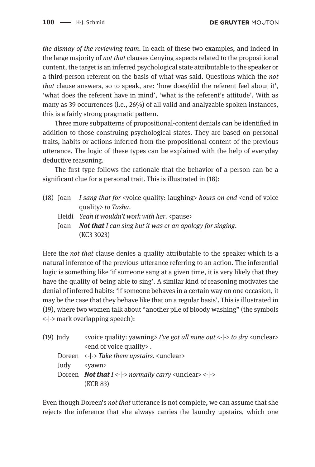*the dismay of the reviewing team*. In each of these two examples, and indeed in the large majority of *not that* clauses denying aspects related to the propositional content, the target is an inferred psychological state attributable to the speaker or a third-person referent on the basis of what was said. Questions which the *not that* clause answers, so to speak, are: 'how does/did the referent feel about it', 'what does the referent have in mind', 'what is the referent's attitude'. With as many as 39 occurrences (i.e., 26%) of all valid and analyzable spoken instances, this is a fairly strong pragmatic pattern.

Three more subpatterns of propositional-content denials can be identified in addition to those construing psychological states. They are based on personal traits, habits or actions inferred from the propositional content of the previous utterance. The logic of these types can be explained with the help of everyday deductive reasoning.

The first type follows the rationale that the behavior of a person can be a significant clue for a personal trait. This is illustrated in (18):

|      | (18) Joan <i>I sang that for <voice laughing="" quality:=""> hours on end <end i="" of="" voice<=""></end></voice></i> |
|------|------------------------------------------------------------------------------------------------------------------------|
|      | quality to Tasha.                                                                                                      |
|      | Heidi Yeah it wouldn't work with her. <pause></pause>                                                                  |
| Ioan | <b>Not that</b> I can sing but it was er an apology for singing.<br>(KC3 3023)                                         |
|      |                                                                                                                        |

Here the *not that* clause denies a quality attributable to the speaker which is a natural inference of the previous utterance referring to an action. The inferential logic is something like 'if someone sang at a given time, it is very likely that they have the quality of being able to sing'. A similar kind of reasoning motivates the denial of inferred habits: 'if someone behaves in a certain way on one occasion, it may be the case that they behave like that on a regular basis'. This is illustrated in (19), where two women talk about "another pile of bloody washing" (the symbols <-|-> mark overlapping speech):

| $(19)$ Judy | $\le$ voice quality: yawning> I've got all mine out $\le$ - $\ge$ to dry $\le$ unclear><br>$\leq$ end of voice quality $\geq$ . |
|-------------|---------------------------------------------------------------------------------------------------------------------------------|
|             | Doreen $\langle - $ > Take them upstairs. $\langle$ unclear>                                                                    |
| Judy        | <vawn></vawn>                                                                                                                   |
|             | Doreen <b>Not that</b> $I \leq \cdot$ > normally carry $\leq$ unclear $\leq \cdot$ $\geq$                                       |
|             | (KCR 83)                                                                                                                        |

Even though Doreen's *not that* utterance is not complete, we can assume that she rejects the inference that she always carries the laundry upstairs, which one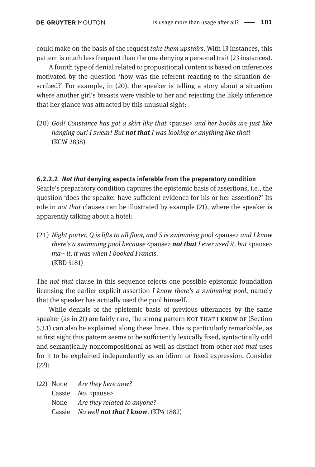could make on the basis of the request *take them upstairs*. With 13 instances, this pattern is much less frequent than the one denying a personal trait (23 instances).

A fourth type of denial related to propositional content is based on inferences motivated by the question 'how was the referent reacting to the situation described?' For example, in (20), the speaker is telling a story about a situation where another girl's breasts were visible to her and rejecting the likely inference that her glance was attracted by this unusual sight:

(20) *God! Constance has got a skirt like that* <pause> *and her boobs are just like hanging out! I swear! But not that I was looking or anything like that*! (KCW 2838)

#### **6.2.2.2** *Not that* **denying aspects inferable from the preparatory condition**

Searle's preparatory condition captures the epistemic basis of assertions, i.e., the question 'does the speaker have sufficient evidence for his or her assertion?' Its role in *not that* clauses can be illustrated by example (21), where the speaker is apparently talking about a hotel:

(21) *Night porter, Q is lifts to all floor, and S is swimming pool* <pause> *and I know there's a swimming pool because* <pause> *not that I ever used it, but* <pause> *ma-- it, it was when I booked Francis.* (KBD 5181)

The *not that* clause in this sequence rejects one possible epistemic foundation licensing the earlier explicit assertion *I know there's a swimming pool*, namely that the speaker has actually used the pool himself.

While denials of the epistemic basis of previous utterances by the same speaker (as in 21) are fairly rare, the strong pattern  $NOT$  that i know  $OF$  (Section 5.3.1) can also be explained along these lines. This is particularly remarkable, as at first sight this pattern seems to be sufficiently lexically fixed, syntactically odd and semantically noncompositional as well as distinct from other *not that* uses for it to be explained independently as an idiom or fixed expression. Consider (22):

|  | (22) None Are they here now?               |
|--|--------------------------------------------|
|  | Cassie $No.$ < pause >                     |
|  | None Are they related to anyone?           |
|  | Cassie No well not that I know. (KP4 1882) |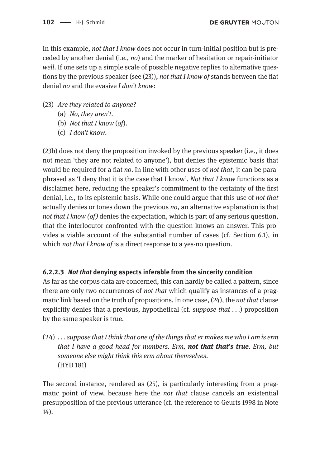In this example, *not that I know* does not occur in turn-initial position but is preceded by another denial (i.e., *no*) and the marker of hesitation or repair-initiator *well*. If one sets up a simple scale of possible negative replies to alternative questions by the previous speaker (see (23)), *not that I know of* stands between the flat denial *no* and the evasive *I don't know*:

- (23) *Are they related to anyone?*
	- (a) *No, they aren't.*
	- (b) *Not that I know* (*of*).
	- (c) *I don't know*.

(23b) does not deny the proposition invoked by the previous speaker (i.e., it does not mean 'they are not related to anyone'), but denies the epistemic basis that would be required for a flat *no*. In line with other uses of *not that*, it can be paraphrased as 'I deny that it is the case that I know'. *Not that I know* functions as a disclaimer here, reducing the speaker's commitment to the certainty of the first denial, i.e., to its epistemic basis. While one could argue that this use of *not that* actually denies or tones down the previous *no*, an alternative explanation is that *not that I know (of)* denies the expectation, which is part of any serious question, that the interlocutor confronted with the question knows an answer. This provides a viable account of the substantial number of cases (cf. Section 6.1), in which *not that I know of* is a direct response to a yes-no question.

#### **6.2.2.3** *Not that* **denying aspects inferable from the sincerity condition**

As far as the corpus data are concerned, this can hardly be called a pattern, since there are only two occurrences of *not that* which qualify as instances of a pragmatic link based on the truth of propositions. In one case, (24), the *not that* clause explicitly denies that a previous, hypothetical (cf. *suppose that . . .*) proposition by the same speaker is true.

(24) *. . . suppose that I think that one of the things that er makes me who I am is erm that I have a good head for numbers. Erm, not that that*'*s true. Erm, but someone else might think this erm about themselves*. (HYD 181)

The second instance, rendered as (25), is particularly interesting from a pragmatic point of view, because here the *not that* clause cancels an existential presupposition of the previous utterance (cf. the reference to Geurts 1998 in Note 14).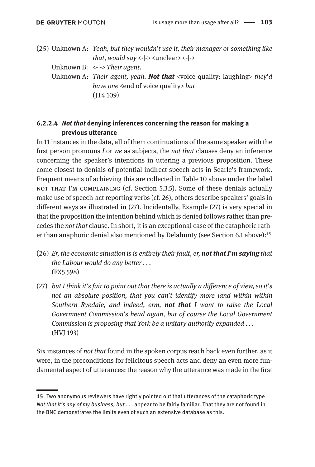(25) Unknown A: *Yeah, but they wouldn*'*t use it, their manager or something like that, would say* <-|-> <unclear> <-|-> Unknown B: <-|-> *Their agent*.

Unknown A: *Their agent, yeah. Not that* <voice quality: laughing> *they*'*d have one* <end of voice quality> *but* (JT4 109)

#### **6.2.2.4** *Not that* **denying inferences concerning the reason for making a previous utterance**

In 11 instances in the data, all of them continuations of the same speaker with the first person pronouns *I* or *we* as subjects, the *not that* clauses deny an inference concerning the speaker's intentions in uttering a previous proposition. These come closest to denials of potential indirect speech acts in Searle's framework. Frequent means of achieving this are collected in Table 10 above under the label not that I'm complaining (cf. Section 5.3.5). Some of these denials actually make use of speech-act reporting verbs (cf. 26), others describe speakers' goals in different ways as illustrated in (27). Incidentally, Example (27) is very special in that the proposition the intention behind which is denied follows rather than precedes the *not that* clause. In short, it is an exceptional case of the cataphoric rather than anaphoric denial also mentioned by Delahunty (see Section 6.1 above):15

- (26) *Er, the economic situation is is entirely their fault, er, not that I*'*m saying that the Labour would do any better . . .* (FX5 598)
- (27) *but I think it*'*s fair to point out that there is actually a difference of view, so it*'*s not an absolute position, that you can*'*t identify more land within within Southern Ryedale, and indeed, erm, not that I want to raise the Local Government Commission*'*s head again, but of course the Local Government Commission is proposing that York be a unitary authority expanded . . .* (HVJ 193)

Six instances of *not that* found in the spoken corpus reach back even further, as it were, in the preconditions for felicitous speech acts and deny an even more fundamental aspect of utterances: the reason why the utterance was made in the first

**<sup>15</sup>** Two anonymous reviewers have rightly pointed out that utterances of the cataphoric type *Not that it's any of my business, but* . . . appear to be fairly familiar. That they are not found in the BNC demonstrates the limits even of such an extensive database as this.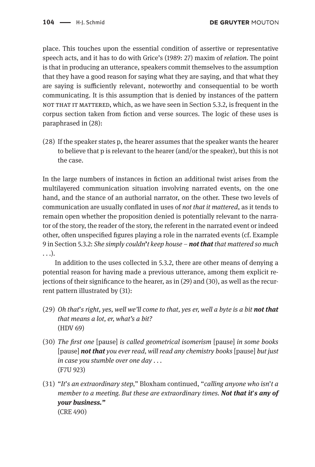place. This touches upon the essential condition of assertive or representative speech acts, and it has to do with Grice's (1989: 27) maxim of *relation*. The point is that in producing an utterance, speakers commit themselves to the assumption that they have a good reason for saying what they are saying, and that what they are saying is sufficiently relevant, noteworthy and consequential to be worth communicating. It is this assumption that is denied by instances of the pattern not that it mattered, which, as we have seen in Section 5.3.2, is frequent in the corpus section taken from fiction and verse sources. The logic of these uses is paraphrased in (28):

(28) If the speaker states p, the hearer assumes that the speaker wants the hearer to believe that p is relevant to the hearer (and/or the speaker), but this is not the case.

In the large numbers of instances in fiction an additional twist arises from the multilayered communication situation involving narrated events, on the one hand, and the stance of an authorial narrator, on the other. These two levels of communication are usually conflated in uses of *not that it mattered*, as it tends to remain open whether the proposition denied is potentially relevant to the narrator of the story, the reader of the story, the referent in the narrated event or indeed other, often unspecified figures playing a role in the narrated events (cf. Example 9 in Section 5.3.2: *She simply couldn***'***t keep house – not that that mattered so much* . . .).

In addition to the uses collected in 5.3.2, there are other means of denying a potential reason for having made a previous utterance, among them explicit rejections of their significance to the hearer, as in (29) and (30), as well as the recurrent pattern illustrated by (31):

- (29) *Oh that*'*s right, yes, well we'll come to that, yes er, well a byte is a bit not that that means a lot, er, what's a bit?* (HDV 69)
- (30) *The first one* [pause] *is called geometrical isomerism* [pause] *in some books* [pause] *not that you ever read, will read any chemistry books* [pause] *but just*  in case you stumble over one day ... (F7U 923)
- (31) "*It*'*s an extraordinary step,*" Bloxham continued, "*calling anyone who isn*'*t a member to a meeting. But these are extraordinary times. Not that it*'*s any of your business."* (CRE 490)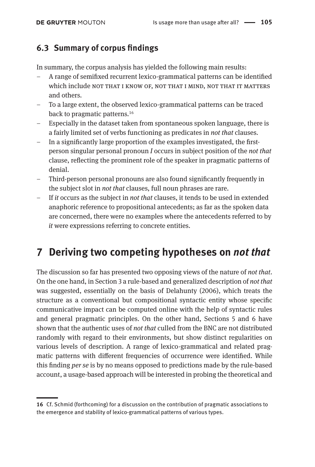## **6.3 Summary of corpus findings**

In summary, the corpus analysis has yielded the following main results:

- A range of semifixed recurrent lexico-grammatical patterns can be identified which include not that I know of, not that I mind, not that it matters and others.
- To a large extent, the observed lexico-grammatical patterns can be traced back to pragmatic patterns.16
- Especially in the dataset taken from spontaneous spoken language, there is a fairly limited set of verbs functioning as predicates in *not that* clauses.
- In a significantly large proportion of the examples investigated, the firstperson singular personal pronoun *I* occurs in subject position of the *not that* clause, reflecting the prominent role of the speaker in pragmatic patterns of denial.
- Third-person personal pronouns are also found significantly frequently in the subject slot in *not that* clauses, full noun phrases are rare.
- If *it* occurs as the subject in *not that* clauses, it tends to be used in extended anaphoric reference to propositional antecedents; as far as the spoken data are concerned, there were no examples where the antecedents referred to by *it* were expressions referring to concrete entities.

# **7 Deriving two competing hypotheses on** *not that*

The discussion so far has presented two opposing views of the nature of *not that*. On the one hand, in Section 3 a rule-based and generalized description of *not that* was suggested, essentially on the basis of Delahunty (2006), which treats the structure as a conventional but compositional syntactic entity whose specific communicative impact can be computed online with the help of syntactic rules and general pragmatic principles. On the other hand, Sections 5 and 6 have shown that the authentic uses of *not that* culled from the BNC are not distributed randomly with regard to their environments, but show distinct regularities on various levels of description. A range of lexico-grammatical and related pragmatic patterns with different frequencies of occurrence were identified. While this finding *per se* is by no means opposed to predictions made by the rule-based account, a usage-based approach will be interested in probing the theoretical and

**<sup>16</sup>** Cf. Schmid (forthcoming) for a discussion on the contribution of pragmatic associations to the emergence and stability of lexico-grammatical patterns of various types.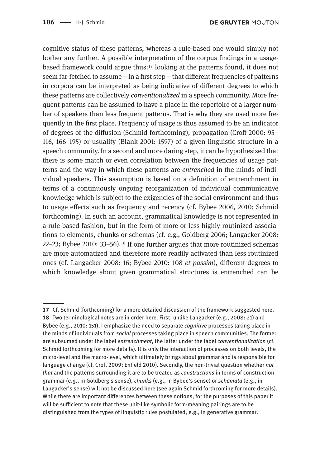cognitive status of these patterns, whereas a rule-based one would simply not bother any further. A possible interpretation of the corpus findings in a usagebased framework could argue thus: $17$  looking at the patterns found, it does not seem far-fetched to assume – in a first step – that different frequencies of patterns in corpora can be interpreted as being indicative of different degrees to which these patterns are collectively *conventionalized* in a speech community. More frequent patterns can be assumed to have a place in the repertoire of a larger number of speakers than less frequent patterns. That is why they are used more frequently in the first place. Frequency of usage is thus assumed to be an indicator of degrees of the diffusion (Schmid forthcoming), propagation (Croft 2000: 95– 116, 166–195) or usuality (Blank 2001: 1597) of a given linguistic structure in a speech community. In a second and more daring step, it can be hypothesized that there is some match or even correlation between the frequencies of usage patterns and the way in which these patterns are *entrenched* in the minds of individual speakers. This assumption is based on a definition of entrenchment in terms of a continuously ongoing reorganization of individual communicative knowledge which is subject to the exigencies of the social environment and thus to usage effects such as frequency and recency (cf. Bybee 2006, 2010; Schmid forthcoming). In such an account, grammatical knowledge is not represented in a rule-based fashion, but in the form of more or less highly routinized associations to elements, chunks or schemas (cf. e.g., Goldberg 2006; Langacker 2008: 22–23; Bybee 2010: 33–56).18 If one further argues that more routinized schemas are more automatized and therefore more readily activated than less routinized ones (cf. Langacker 2008: 16; Bybee 2010: 108 *et passim*), different degrees to which knowledge about given grammatical structures is entrenched can be

**<sup>17</sup>** Cf. Schmid (forthcoming) for a more detailed discussion of the framework suggested here. **18** Two terminological notes are in order here. First, unlike Langacker (e.g., 2008: 21) and Bybee (e.g., 2010: 151), I emphasize the need to separate *cognitive* processes taking place in the minds of individuals from *social* processes taking place in speech communities. The former are subsumed under the label *entrenchment*, the latter under the label *conventionalization* (cf. Schmid forthcoming for more details). It is only the interaction of processes on both levels, the micro-level and the macro-level, which ultimately brings about grammar and is responsible for language change (cf. Croft 2009; Enfield 2010). Secondly, the non-trivial question whether *not that* and the patterns surrounding it are to be treated as *constructions* in terms of construction grammar (e.g., in Goldberg's sense), *chunks* (e.g., in Bybee's sense) or *schemata* (e.g., in Langacker's sense) will not be discussed here (see again Schmid forthcoming for more details). While there are important differences between these notions, for the purposes of this paper it will be sufficient to note that these unit-like symbolic form-meaning pairings are to be distinguished from the types of linguistic rules postulated, e.g., in generative grammar.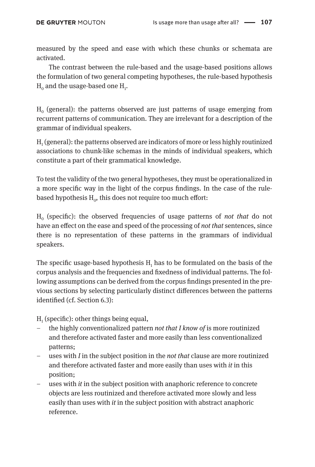measured by the speed and ease with which these chunks or schemata are activated.

The contrast between the rule-based and the usage-based positions allows the formulation of two general competing hypotheses, the rule-based hypothesis  $\mathrm{H}_0$  and the usage-based one  $\mathrm{H}_1$ .

 $H<sub>o</sub>$  (general): the patterns observed are just patterns of usage emerging from recurrent patterns of communication. They are irrelevant for a description of the grammar of individual speakers.

 $\rm H_i$  (general): the patterns observed are indicators of more or less highly routinized associations to chunk-like schemas in the minds of individual speakers, which constitute a part of their grammatical knowledge.

To test the validity of the two general hypotheses, they must be operationalized in a more specific way in the light of the corpus findings. In the case of the rulebased hypothesis  $H_0$ , this does not require too much effort:

 $H<sub>0</sub>$  (specific): the observed frequencies of usage patterns of *not that* do not have an effect on the ease and speed of the processing of *not that* sentences, since there is no representation of these patterns in the grammars of individual speakers.

The specific usage-based hypothesis  $H_1$  has to be formulated on the basis of the corpus analysis and the frequencies and fixedness of individual patterns. The following assumptions can be derived from the corpus findings presented in the previous sections by selecting particularly distinct differences between the patterns identified (cf. Section 6.3):

 $H<sub>1</sub>$  (specific): other things being equal,

- the highly conventionalized pattern *not that I know of* is more routinized and therefore activated faster and more easily than less conventionalized patterns;
- uses with *I* in the subject position in the *not that* clause are more routinized and therefore activated faster and more easily than uses with *it* in this position;
- uses with *it* in the subject position with anaphoric reference to concrete objects are less routinized and therefore activated more slowly and less easily than uses with *it* in the subject position with abstract anaphoric reference.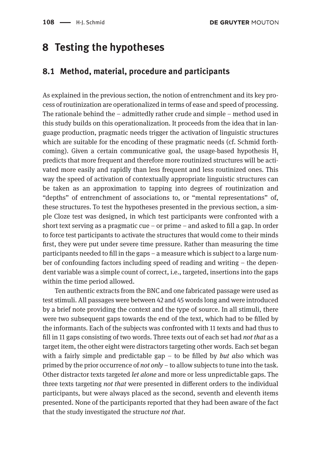## **8 Testing the hypotheses**

#### **8.1 Method, material, procedure and participants**

As explained in the previous section, the notion of entrenchment and its key process of routinization are operationalized in terms of ease and speed of processing. The rationale behind the – admittedly rather crude and simple – method used in this study builds on this operationalization. It proceeds from the idea that in language production, pragmatic needs trigger the activation of linguistic structures which are suitable for the encoding of these pragmatic needs (cf. Schmid forthcoming). Given a certain communicative goal, the usage-based hypothesis  $H_1$ predicts that more frequent and therefore more routinized structures will be activated more easily and rapidly than less frequent and less routinized ones. This way the speed of activation of contextually appropriate linguistic structures can be taken as an approximation to tapping into degrees of routinization and "depths" of entrenchment of associations to, or "mental representations" of, these structures. To test the hypotheses presented in the previous section, a simple Cloze test was designed, in which test participants were confronted with a short text serving as a pragmatic cue – or prime – and asked to fill a gap. In order to force test participants to activate the structures that would come to their minds first, they were put under severe time pressure. Rather than measuring the time participants needed to fill in the gaps – a measure which is subject to a large number of confounding factors including speed of reading and writing – the dependent variable was a simple count of correct, i.e., targeted, insertions into the gaps within the time period allowed.

Ten authentic extracts from the BNC and one fabricated passage were used as test stimuli. All passages were between 42 and 45 words long and were introduced by a brief note providing the context and the type of source. In all stimuli, there were two subsequent gaps towards the end of the text, which had to be filled by the informants. Each of the subjects was confronted with 11 texts and had thus to fill in 11 gaps consisting of two words. Three texts out of each set had *not that* as a target item, the other eight were distractors targeting other words. Each set began with a fairly simple and predictable gap – to be filled by *but also* which was primed by the prior occurrence of *not only* – to allow subjects to tune into the task. Other distractor texts targeted *let alone* and more or less unpredictable gaps. The three texts targeting *not that* were presented in different orders to the individual participants, but were always placed as the second, seventh and eleventh items presented. None of the participants reported that they had been aware of the fact that the study investigated the structure *not that*.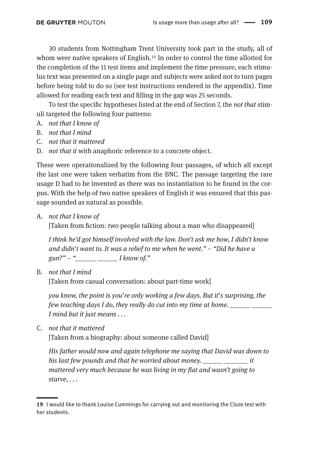30 students from Nottingham Trent University took part in the study, all of whom were native speakers of English.<sup>19</sup> In order to control the time allotted for the completion of the 11 test items and implement the time pressure, each stimulus text was presented on a single page and subjects were asked not to turn pages before being told to do so (see test instructions rendered in the appendix). Time allowed for reading each text and filling in the gap was 25 seconds.

To test the specific hypotheses listed at the end of Section 7, the *not that* stimuli targeted the following four patterns:

- A. *not that I know of*
- B. *not that I mind*
- C. *not that it mattered*
- D. *not that it* with anaphoric reference to a concrete object.

These were operationalized by the following four passages, of which all except the last one were taken verbatim from the BNC. The passage targeting the rare usage D had to be invented as there was no instantiation to be found in the corpus. With the help of two native speakers of English it was ensured that this passage sounded as natural as possible.

A. *not that I know of*

[Taken from fiction: two people talking about a man who disappeared]

*I think he'd got himself involved with the law. Don't ask me how, I didn't know and didn*'*t want to. It was a relief to me when he went."* – *"Did he have a gun?"* – *"\_\_\_\_\_\_ \_\_\_\_\_\_ I know of."*

B. *not that I mind*

[Taken from casual conversation: about part-time work]

*you know, the point is you*'*re only working a few days. But it*'*s surprising, the few teaching days I do, they really do cut into my time at home. I mind but it just means . . .*

C. *not that it mattered*

[Taken from a biography: about someone called David]

*His father would now and again telephone me saying that David was down to his last few pounds and that he worried about money. \_\_\_\_\_\_ \_\_\_\_\_\_\_ it mattered very much because he was living in my flat and wasn't going to starve, . . .*

**<sup>19</sup>** I would like to thank Louise Cummings for carrying out and monitoring the Cloze test with her students.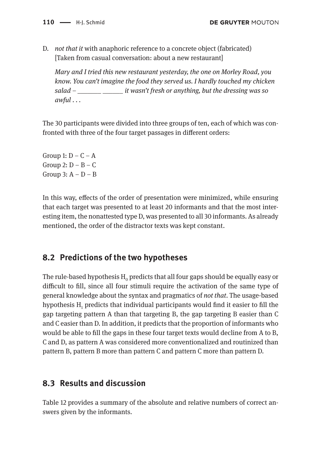D. *not that it* with anaphoric reference to a concrete object (fabricated) [Taken from casual conversation: about a new restaurant]

*Mary and I tried this new restaurant yesterday, the one on Morley Road, you know. You can't imagine the food they served us. I hardly touched my chicken salad* – *\_\_\_\_\_\_\_ \_\_\_\_\_\_ it wasn't fresh or anything, but the dressing was so awful* . . .

The 30 participants were divided into three groups of ten, each of which was confronted with three of the four target passages in different orders:

Group 1:  $D - C - A$ Group 2:  $D - B - C$ Group  $3: A - D - B$ 

In this way, effects of the order of presentation were minimized, while ensuring that each target was presented to at least 20 informants and that the most interesting item, the nonattested type D, was presented to all 30 informants. As already mentioned, the order of the distractor texts was kept constant.

### **8.2 Predictions of the two hypotheses**

The rule-based hypothesis  $H_0$  predicts that all four gaps should be equally easy or difficult to fill, since all four stimuli require the activation of the same type of general knowledge about the syntax and pragmatics of *not that*. The usage-based hypothesis  $H_1$  predicts that individual participants would find it easier to fill the gap targeting pattern A than that targeting B, the gap targeting B easier than C and C easier than D. In addition, it predicts that the proportion of informants who would be able to fill the gaps in these four target texts would decline from A to B, C and D, as pattern A was considered more conventionalized and routinized than pattern B, pattern B more than pattern C and pattern C more than pattern D.

### **8.3 Results and discussion**

Table 12 provides a summary of the absolute and relative numbers of correct answers given by the informants.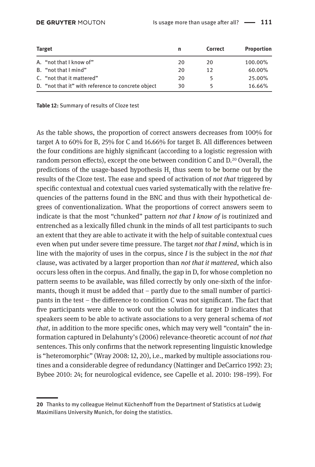#### **DE GRUYTER MOUTON**

| <b>Target</b>                                      | n  | Correct | <b>Proportion</b> |
|----------------------------------------------------|----|---------|-------------------|
| A. "not that I know of"                            | 20 | 20      | 100.00%           |
| B. "not that I mind"                               | 20 | 12      | 60.00%            |
| C. "not that it mattered"                          | 20 |         | 25.00%            |
| D. "not that it" with reference to concrete object | 30 |         | 16.66%            |

**Table 12:** Summary of results of Cloze test

As the table shows, the proportion of correct answers decreases from 100% for target A to 60% for B, 25% for C and 16.66% for target B. All differences between the four conditions are highly significant (according to a logistic regression with random person effects), except the one between condition C and D.20 Overall, the predictions of the usage-based hypothesis  $H_1$  thus seem to be borne out by the results of the Cloze test. The ease and speed of activation of *not that* triggered by specific contextual and cotextual cues varied systematically with the relative frequencies of the patterns found in the BNC and thus with their hypothetical degrees of conventionalization. What the proportions of correct answers seem to indicate is that the most "chunked" pattern *not that I know of* is routinized and entrenched as a lexically filled chunk in the minds of all test participants to such an extent that they are able to activate it with the help of suitable contextual cues even when put under severe time pressure. The target *not that I mind*, which is in line with the majority of uses in the corpus, since *I* is the subject in the *not that* clause, was activated by a larger proportion than *not that it mattered*, which also occurs less often in the corpus. And finally, the gap in D, for whose completion no pattern seems to be available, was filled correctly by only one-sixth of the informants, though it must be added that – partly due to the small number of participants in the test – the difference to condition C was not significant. The fact that five participants were able to work out the solution for target D indicates that speakers seem to be able to activate associations to a very general schema of *not that*, in addition to the more specific ones, which may very well "contain" the information captured in Delahunty's (2006) relevance-theoretic account of *not that*  sentences. This only confirms that the network representing linguistic knowledge is "heteromorphic" (Wray 2008: 12, 20), i.e., marked by multiple associations routines and a considerable degree of redundancy (Nattinger and DeCarrico 1992: 23; Bybee 2010: 24; for neurological evidence, see Capelle et al. 2010: 198–199). For

**<sup>20</sup>** Thanks to my colleague Helmut Küchenhoff from the Department of Statistics at Ludwig Maximilians University Munich, for doing the statistics.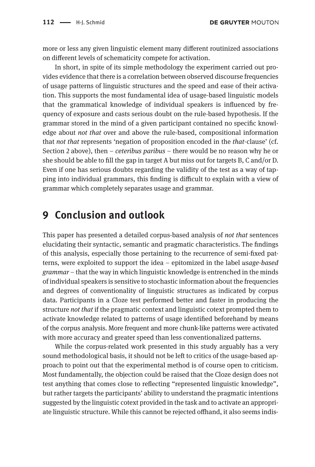more or less any given linguistic element many different routinized associations on different levels of schematicity compete for activation.

In short, in spite of its simple methodology the experiment carried out provides evidence that there is a correlation between observed discourse frequencies of usage patterns of linguistic structures and the speed and ease of their activation. This supports the most fundamental idea of usage-based linguistic models that the grammatical knowledge of individual speakers is influenced by frequency of exposure and casts serious doubt on the rule-based hypothesis. If the grammar stored in the mind of a given participant contained no specific knowledge about *not that* over and above the rule-based, compositional information that *not that* represents 'negation of proposition encoded in the *that*-clause' (cf. Section 2 above), then – *ceteribus paribus* – there would be no reason why he or she should be able to fill the gap in target A but miss out for targets B, C and/or D. Even if one has serious doubts regarding the validity of the test as a way of tapping into individual grammars, this finding is difficult to explain with a view of grammar which completely separates usage and grammar.

## **9 Conclusion and outlook**

This paper has presented a detailed corpus-based analysis of *not that* sentences elucidating their syntactic, semantic and pragmatic characteristics. The findings of this analysis, especially those pertaining to the recurrence of semi-fixed patterns, were exploited to support the idea – epitomized in the label *usage-based grammar* – that the way in which linguistic knowledge is entrenched in the minds of individual speakers is sensitive to stochastic information about the frequencies and degrees of conventionality of linguistic structures as indicated by corpus data. Participants in a Cloze test performed better and faster in producing the structure *not that* if the pragmatic context and linguistic cotext prompted them to activate knowledge related to patterns of usage identified beforehand by means of the corpus analysis. More frequent and more chunk-like patterns were activated with more accuracy and greater speed than less conventionalized patterns.

While the corpus-related work presented in this study arguably has a very sound methodological basis, it should not be left to critics of the usage-based approach to point out that the experimental method is of course open to criticism. Most fundamentally, the objection could be raised that the Cloze design does not test anything that comes close to reflecting "represented linguistic knowledge", but rather targets the participants' ability to understand the pragmatic intentions suggested by the linguistic cotext provided in the task and to activate an appropriate linguistic structure. While this cannot be rejected offhand, it also seems indis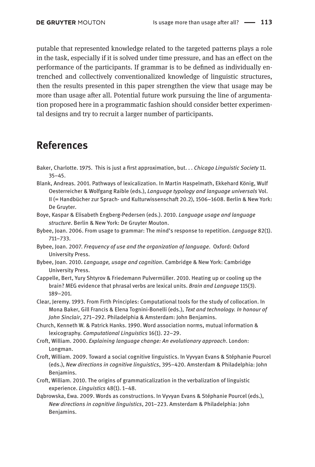putable that represented knowledge related to the targeted patterns plays a role in the task, especially if it is solved under time pressure, and has an effect on the performance of the participants. If grammar is to be defined as individually entrenched and collectively conventionalized knowledge of linguistic structures, then the results presented in this paper strengthen the view that usage may be more than usage after all. Potential future work pursuing the line of argumentation proposed here in a programmatic fashion should consider better experimental designs and try to recruit a larger number of participants.

## **References**

- Baker, Charlotte. 1975. This is just a first approximation, but. . . *Chicago Linguistic Society* 11. 35–45.
- Blank, Andreas. 2001. Pathways of lexicalization. In Martin Haspelmath, Ekkehard König, Wulf Oesterreicher & Wolfgang Raible (eds.), *Language typology and language universals* Vol. II (= Handbücher zur Sprach- und Kulturwissenschaft 20.2), 1506–1608. Berlin & New York: De Gruyter.
- Boye, Kaspar & Elisabeth Engberg-Pedersen (eds.). 2010. *Language usage and language structure*. Berlin & New York: De Gruyter Mouton.
- Bybee, Joan. 2006. From usage to grammar: The mind's response to repetition. *Language* 82(1). 711–733.
- Bybee, Joan. 2007. *Frequency of use and the organization of language*. Oxford: Oxford University Press.
- Bybee, Joan. 2010. *Language, usage and cognition*. Cambridge & New York: Cambridge University Press.
- Cappelle, Bert, Yury Shtyrov & Friedemann Pulvermüller. 2010. Heating up or cooling up the brain? MEG evidence that phrasal verbs are lexical units. *Brain and Language* 115(3). 189–201.
- Clear, Jeremy. 1993. From Firth Principles: Computational tools for the study of collocation. In Mona Baker, Gill Francis & Elena Tognini-Bonelli (eds.), *Text and technology. In honour of John Sinclair*, 271–292. Philadelphia & Amsterdam: John Benjamins.
- Church, Kenneth W. & Patrick Hanks. 1990. Word association norms, mutual information & lexicography. *Computational Linguistics* 16(1). 22–29.
- Croft, William. 2000. *Explaining language change: An evolutionary approach*. London: Longman.
- Croft, William. 2009. Toward a social cognitive linguistics. In Vyvyan Evans & Stéphanie Pourcel (eds.), *New directions in cognitive linguistics*, 395–420. Amsterdam & Philadelphia: John Benjamins.
- Croft, William. 2010. The origins of grammaticalization in the verbalization of linguistic experience. *Linguistics* 48(1). 1–48.
- Dąbrowska, Ewa. 2009. Words as constructions. In Vyvyan Evans & Stéphanie Pourcel (eds.), *New directions in cognitive linguistics*, 201–223. Amsterdam & Philadelphia: John Benjamins.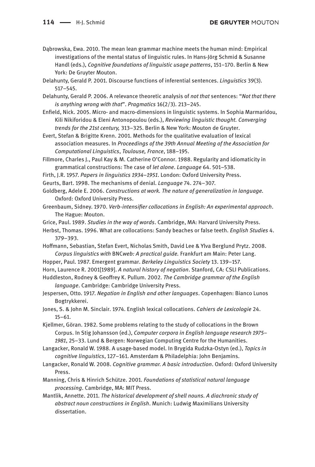114 - H-J. Schmid

Dąbrowska, Ewa. 2010. The mean lean grammar machine meets the human mind: Empirical investigations of the mental status of linguistic rules. In Hans-Jörg Schmid & Susanne Handl (eds.), *Cognitive foundations of linguistic usage patterns*, 151–170. Berlin & New York: De Gruyter Mouton.

Delahunty, Gerald P. 2001. Discourse functions of inferential sentences. *Linguistics* 39(3). 517–545.

- Delahunty, Gerald P. 2006. A relevance theoretic analysis of *not that* sentences: "*Not that there is anything wrong with that*". *Pragmatics* 16(2/3). 213–245.
- Enfield, Nick. 2005. Micro- and macro-dimensions in linguistic systems. In Sophia Marmaridou, Kili Nikiforidou & Eleni Antonopoulou (eds.), *Reviewing linguistic thought. Converging trends for the 21st century,* 313–325. Berlin & New York: Mouton de Gruyter.
- Evert, Stefan & Brigitte Krenn. 2001. Methods for the qualitative evaluation of lexical association measures. In *Proceedings of the 39th Annual Meeting of the Association for Computational Linguistics*, *Toulouse, France*, 188–195.
- Fillmore, Charles J., Paul Kay & M. Catherine O'Connor. 1988. Regularity and idiomaticity in grammatical constructions: The case of *let alone*. *Language* 64. 501–538.
- Firth, J.R. 1957. *Papers in linguistics 1934*–*1951*. London: Oxford University Press.
- Geurts, Bart. 1998. The mechanisms of denial. *Language* 74. 274–307.

Goldberg, Adele E. 2006. *Constructions at work. The nature of generalization in language.*  Oxford: Oxford University Press.

- Greenbaum, Sidney. 1970. *Verb-intensifier collocations in English: An experimental approach*. The Hague: Mouton.
- Grice, Paul. 1989. *Studies in the way of words*. Cambridge, MA: Harvard University Press.
- Herbst, Thomas. 1996. What are collocations: Sandy beaches or false teeth. *English Studies* 4. 379–393.
- Hoffmann, Sebastian, Stefan Evert, Nicholas Smith, David Lee & Ylva Berglund Prytz. 2008. *Corpus linguistics with* BNC*web: A practical guide.* Frankfurt am Main: Peter Lang.
- Hopper, Paul. 1987. Emergent grammar. *Berkeley Linguistics Society* 13. 139–157.

Horn, Laurence R. 2001[1989]. *A natural history of negation*. Stanford, CA: CSLI Publications.

- Huddleston, Rodney & Geoffrey K. Pullum. 2002. *The Cambridge grammar of the English language*. Cambridge: Cambridge University Press.
- Jespersen, Otto. 1917. *Negation in English and other languages*. Copenhagen: Bianco Lunos Bogtrykkerei.
- Jones, S. & John M. Sinclair. 1974. English lexical collocations. *Cahiers de Lexicologie* 24. 15–61.
- Kjellmer, Göran. 1982. Some problems relating to the study of collocations in the Brown Corpus. In Stig Johansson (ed.), *Computer corpora in English language research 1975*– *1981*, 25–33. Lund & Bergen: Norwegian Computing Centre for the Humanities.
- Langacker, Ronald W. 1988. A usage-based model. In Brygida Rudzka-Ostyn (ed.), *Topics in cognitive linguistics*, 127–161. Amsterdam & Philadelphia: John Benjamins.
- Langacker, Ronald W. 2008. *Cognitive grammar. A basic introduction*. Oxford: Oxford University Press.
- Manning, Chris & Hinrich Schütze. 2001. *Foundations of statistical natural language processing*. Cambridge, MA: MIT Press.
- Mantlik, Annette. 2011. *The historical development of shell nouns. A diachronic study of abstract noun constructions in English*. Munich: Ludwig Maximilians University dissertation.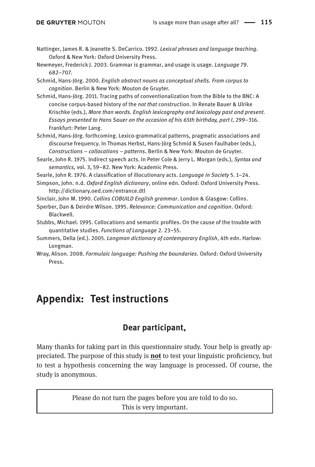- Nattinger, James R. & Jeanette S. DeCarrico. 1992. *Lexical phrases and language teaching*. Oxford & New York: Oxford University Press.
- Newmeyer, Frederick J. 2003. Grammar is grammar, and usage is usage. *Language* 79. 682–707.
- Schmid, Hans-Jörg. 2000. *English abstract nouns as conceptual shells. From corpus to cognition*. Berlin & New York: Mouton de Gruyter.
- Schmid, Hans-Jörg. 2011. Tracing paths of conventionalization from the Bible to the BNC: A concise corpus-based history of the *not that* construction. In Renate Bauer & Ulrike Krischke (eds.), *More than words. English lexicography and lexicology past and present. Essays presented to Hans Sauer on the occasion of his 65th birthday, part I*, 299–316. Frankfurt: Peter Lang.
- Schmid, Hans-Jörg. forthcoming. Lexico-grammatical patterns, pragmatic associations and discourse frequency. In Thomas Herbst, Hans-Jörg Schmid & Susen Faulhaber (eds.), *Constructions – collocations – patterns***.** Berlin & New York: Mouton de Gruyter.
- Searle, John R. 1975. Indirect speech acts. In Peter Cole & Jerry L. Morgan (eds.), *Syntax and semantics,* vol. 3, 59–82. New York: Academic Press.
- Searle, John R. 1976. A classification of illocutionary acts. *Language in Society* 5. 1–24.
- Simpson, John. n.d. *Oxford English dictionary*, online edn. Oxford: Oxford University Press. http://dictionary.oed.com/entrance.dtl
- Sinclair, John M. 1990. *Collins COBUILD English grammar*. London & Glasgow: Collins.
- Sperber, Dan & Deirdre Wilson. 1995. *Relevance: Communication and cognition*. Oxford: Blackwell.
- Stubbs, Michael. 1995. Collocations and semantic profiles. On the cause of the trouble with quantitative studies. *Functions of Language* 2. 23–55.
- Summers, Della (ed.). 2005. *Longman dictionary of contemporary English*, 4th edn. Harlow: Longman.
- Wray, Alison. 2008. *Formulaic language: Pushing the boundaries*. Oxford: Oxford University Press.

## **Appendix: Test instructions**

### **Dear participant,**

Many thanks for taking part in this questionnaire study. Your help is greatly appreciated. The purpose of this study is **not** to test your linguistic proficiency, but to test a hypothesis concerning the way language is processed. Of course, the study is anonymous.

> Please do not turn the pages before you are told to do so. This is very important.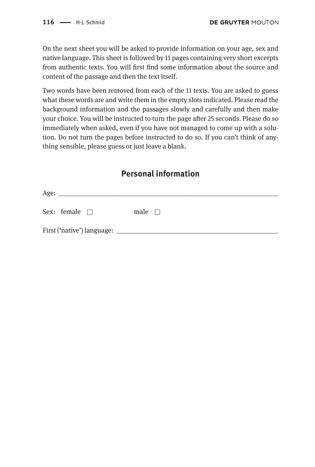On the next sheet you will be asked to provide information on your age, sex and native language. This sheet is followed by 11 pages containing very short excerpts from authentic texts. You will first find some information about the source and content of the passage and then the text itself.

Two words have been removed from each of the 11 texts. You are asked to guess what these words are and write them in the empty slots indicated. Please read the background information and the passages slowly and carefully and then make your choice. You will be instructed to turn the page after 25 seconds. Please do so immediately when asked, even if you have not managed to come up with a solution. Do not turn the pages before instructed to do so. If you can't think of anything sensible, please guess or just leave a blank.

### **Personal information**

| Age: |                            |             |
|------|----------------------------|-------------|
|      | Sex: female $\square$      | male $\Box$ |
|      | First ('native') language: |             |